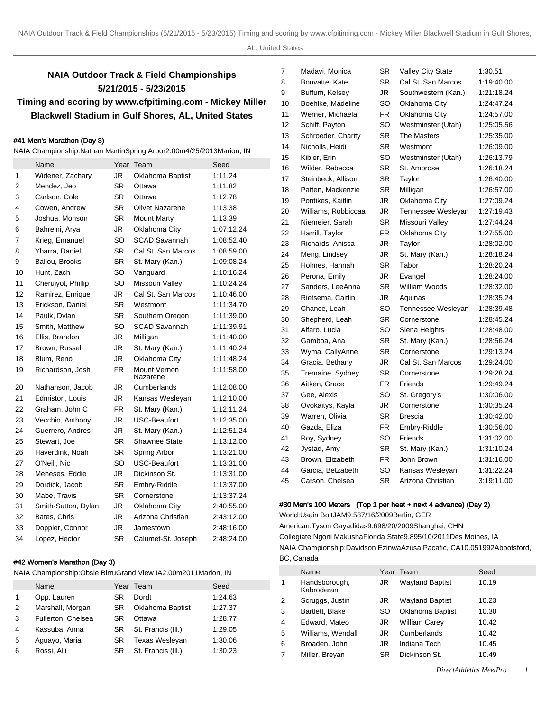# **NAIA Outdoor Track & Field Championships 5/21/2015 - 5/23/2015 Timing and scoring by www.cfpitiming.com - Mickey Miller Blackwell Stadium in Gulf Shores, AL, United States**

## #41 Men's Marathon (Day 3)

NAIA Championship: Nathan Martin Spring Arbor 2.00m 4/25/2013 Marion, IN

|    | Name                |           | Year Team                | Seed       |
|----|---------------------|-----------|--------------------------|------------|
| 1  | Widener, Zachary    | <b>JR</b> | Oklahoma Baptist         | 1:11.24    |
| 2  | Mendez, Jeo         | <b>SR</b> | Ottawa                   | 1:11.82    |
| 3  | Carlson, Cole       | <b>SR</b> | Ottawa                   | 1:12.78    |
| 4  | Cowen, Andrew       | <b>SR</b> | <b>Olivet Nazarene</b>   | 1:13.38    |
| 5  | Joshua, Monson      | SR.       | <b>Mount Marty</b>       | 1:13.39    |
| 6  | Bahreini, Arya      | JR        | Oklahoma City            | 1:07:12.24 |
| 7  | Krieg, Emanuel      | SO        | <b>SCAD Savannah</b>     | 1:08:52.40 |
| 8  | Ybarra, Daniel      | SR.       | Cal St. San Marcos       | 1:08:59.00 |
| 9  | Ballou, Brooks      | SR        | St. Mary (Kan.)          | 1:09:08.24 |
| 10 | Hunt, Zach          | SO        | Vanguard                 | 1:10:16.24 |
| 11 | Cheruiyot, Phillip  | SO        | Missouri Valley          | 1:10:24.24 |
| 12 | Ramirez, Enrique    | JR        | Cal St. San Marcos       | 1:10:46.00 |
| 13 | Erickson, Daniel    | SR.       | Westmont                 | 1:11:34.70 |
| 14 | Paulk, Dylan        | <b>SR</b> | Southern Oregon          | 1:11:39.00 |
| 15 | Smith, Matthew      | SO        | SCAD Savannah            | 1:11:39.91 |
| 16 | Ellis, Brandon      | JR        | Milligan                 | 1:11:40.00 |
| 17 | Brown, Russell      | <b>JR</b> | St. Mary (Kan.)          | 1:11:40.24 |
| 18 | Blum, Reno          | JR        | Oklahoma City            | 1:11:48.24 |
| 19 | Richardson, Josh    | <b>FR</b> | Mount Vernon<br>Nazarene | 1:11:58.00 |
| 20 | Nathanson, Jacob    | JR        | Cumberlands              | 1:12:08.00 |
| 21 | Edmiston, Louis     | JR.       | Kansas Wesleyan          | 1:12:10.00 |
| 22 | Graham, John C      | FR.       | St. Mary (Kan.)          | 1:12:11.24 |
| 23 | Vecchio, Anthony    | JR.       | <b>USC-Beaufort</b>      | 1:12:35.00 |
| 24 | Guerrero, Andres    | JR.       | St. Mary (Kan.)          | 1:12:51.24 |
| 25 | Stewart, Joe        | <b>SR</b> | Shawnee State            | 1:13:12.00 |
| 26 | Haverdink, Noah     | <b>SR</b> | Spring Arbor             | 1:13:21.00 |
| 27 | O'Neill, Nic        | SO        | USC-Beaufort             | 1:13:31.00 |
| 28 | Meneses, Eddie      | JR.       | Dickinson St.            | 1:13:31.00 |
| 29 | Dordick, Jacob      | <b>SR</b> | Embry-Riddle             | 1:13:37.00 |
| 30 | Mabe, Travis        | <b>SR</b> | Cornerstone              | 1:13:37.24 |
| 31 | Smith-Sutton, Dylan | JR        | Oklahoma City            | 2:40:55.00 |
| 32 | Bates, Chris        | JR        | Arizona Christian        | 2:43:12.00 |
| 33 | Doppler, Connor     | <b>JR</b> | Jamestown                | 2:48:16.00 |
| 34 | Lopez, Hector       | <b>SR</b> | Calumet-St. Joseph       | 2:48:24.00 |

## #42 Women's Marathon (Day 3)

NAIA Championship: Obsie Birru Grand View IA 2.00m 2011Marion, IN

|   | Name               |     | Year Team          | Seed    |
|---|--------------------|-----|--------------------|---------|
| 1 | Opp, Lauren        | SR  | Dordt              | 1:24.63 |
| 2 | Marshall, Morgan   | SR. | Oklahoma Baptist   | 1:27.37 |
| 3 | Fullerton, Chelsea | SR  | Ottawa             | 1:28.77 |
| 4 | Kassuba, Anna      | SR. | St. Francis (III.) | 1:29.05 |
| 5 | Aguayo, Maria      | SR  | Texas Wesleyan     | 1:30.06 |
| 6 | Rossi, Alli        | SR  | St. Francis (III.) | 1:30.23 |

| 7  | Madavi, Monica      | SR        | Valley City State   | 1:30.51    |
|----|---------------------|-----------|---------------------|------------|
| 8  | Bouvatte, Kate      | <b>SR</b> | Cal St. San Marcos  | 1:19:40.00 |
| 9  | Buffum, Kelsey      | JR        | Southwestern (Kan.) | 1:21:18.24 |
| 10 | Boehlke, Madeline   | SO        | Oklahoma City       | 1:24:47.24 |
| 11 | Werner, Michaela    | FR.       | Oklahoma City       | 1:24:57.00 |
| 12 | Schiff, Payton      | SO        | Westminster (Utah)  | 1:25:05.56 |
| 13 | Schroeder, Charity  | SR        | The Masters         | 1:25:35.00 |
| 14 | Nicholls, Heidi     | SR        | Westmont            | 1:26:09.00 |
| 15 | Kibler, Erin        | SO        | Westminster (Utah)  | 1:26:13.79 |
| 16 | Wilder, Rebecca     | <b>SR</b> | St. Ambrose         | 1:26:18.24 |
| 17 | Steinbeck, Allison  | SR        | Taylor              | 1:26:40.00 |
| 18 | Patten, Mackenzie   | <b>SR</b> | Milligan            | 1:26:57.00 |
| 19 | Pontikes, Kaitlin   | JR        | Oklahoma City       | 1:27:09.24 |
| 20 | Williams, Robbiccaa | JR.       | Tennessee Wesleyan  | 1:27:19.43 |
| 21 | Niemeier, Sarah     | SR        | Missouri Valley     | 1:27:44.24 |
| 22 | Harrill, Taylor     | <b>FR</b> | Oklahoma City       | 1:27:55.00 |
| 23 | Richards, Anissa    | JR        | Taylor              | 1:28:02.00 |
| 24 | Meng, Lindsey       | JR        | St. Mary (Kan.)     | 1:28:18.24 |
| 25 | Holmes, Hannah      | SR        | Tabor               | 1:28:20.24 |
| 26 | Perona, Emily       | JR        | Evangel             | 1:28:24.00 |
| 27 | Sanders, LeeAnna    | <b>SR</b> | William Woods       | 1:28:32.00 |
| 28 | Rietsema, Caitlin   | JR        | Aquinas             | 1:28:35.24 |
| 29 | Chance, Leah        | SO        | Tennessee Wesleyan  | 1:28:39.48 |
| 30 | Shepherd, Leah      | SR        | Cornerstone         | 1:28:45.24 |
| 31 | Alfaro, Lucia       | SO        | Siena Heights       | 1:28:48.00 |
| 32 | Gamboa, Ana         | <b>SR</b> | St. Mary (Kan.)     | 1:28:56.24 |
| 33 | Wyma, CallyAnne     | SR        | Cornerstone         | 1:29:13.24 |
| 34 | Gracia, Bethany     | JR        | Cal St. San Marcos  | 1:29:24.00 |
| 35 | Tremaine, Sydney    | SR        | Cornerstone         | 1:29:28.24 |
| 36 | Aitken, Grace       | <b>FR</b> | Friends             | 1:29:49.24 |
| 37 | Gee, Alexis         | SO        | St. Gregory's       | 1:30:06.00 |
| 38 | Ovokaitys, Kayla    | JR        | Cornerstone         | 1:30:35.24 |
| 39 | Warren, Olivia      | SR        | <b>Brescia</b>      | 1:30:42.00 |
| 40 | Gazda, Eliza        | FR.       | Embry-Riddle        | 1:30:56.00 |
| 41 | Roy, Sydney         | SO        | Friends             | 1:31:02.00 |
| 42 | Jystad, Amy         | SR        | St. Mary (Kan.)     | 1:31:10.24 |
| 43 | Brown, Elizabeth    | FR.       | John Brown          | 1:31:16.00 |
| 44 | Garcia, Betzabeth   | SO        | Kansas Wesleyan     | 1:31:22.24 |
| 45 | Carson, Chelsea     | <b>SR</b> | Arizona Christian   | 3:19:11.00 |
|    |                     |           |                     |            |

## #30 Men's 100 Meters (Top 1 per heat + next 4 advance) (Day 2)

World: Usain Bolt JAM 9.58 7/16/2009 Berlin, GER American: Tyson Gay adidas 9.69 8/20/2009 Shanghai, CHN Collegiate: Ngoni Makusha Florida State 9.89 5/10/2011 Des Moines, IA NAIA Championship: Davidson Ezinwa Azusa Pacafic, CA 10.05 1992Abbotsford, BC, Canada

|   | Name                        |           | Year Team              | Seed  |
|---|-----------------------------|-----------|------------------------|-------|
| 1 | Handsborough,<br>Kabroderan | JR        | <b>Wayland Baptist</b> | 10.19 |
| 2 | Scruggs, Justin             | JR        | <b>Wayland Baptist</b> | 10.23 |
| 3 | Bartlett, Blake             | SO.       | Oklahoma Baptist       | 10.30 |
| 4 | Edward, Mateo               | JR        | <b>William Carey</b>   | 10.42 |
| 5 | Williams, Wendall           | JR        | Cumberlands            | 10.42 |
| 6 | Broaden, John               | JR        | Indiana Tech           | 10.45 |
| 7 | Miller, Breyan              | <b>SR</b> | Dickinson St.          | 10.49 |
|   |                             |           |                        |       |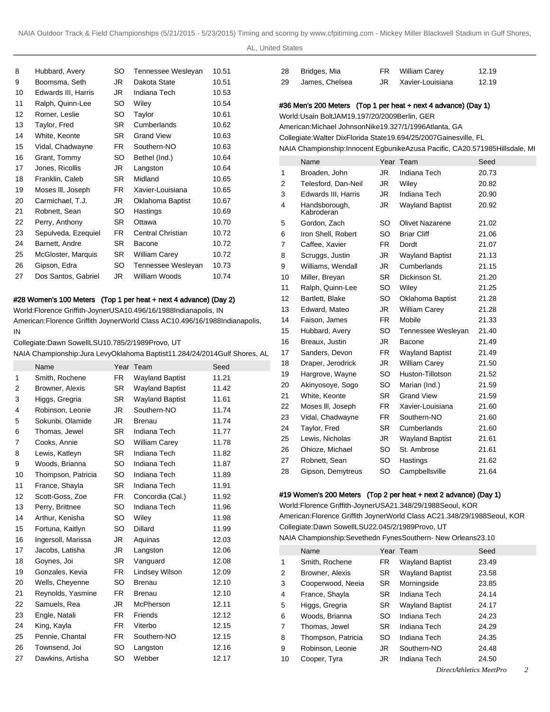AL, United States

| 8  | Hubbard, Avery      | SO  | Tennessee Wesleyan   | 10.51 |
|----|---------------------|-----|----------------------|-------|
| 9  | Boomsma, Seth       | JR  | Dakota State         | 10.51 |
| 10 | Edwards III, Harris | JR  | Indiana Tech         | 10.53 |
| 11 | Ralph, Quinn-Lee    | SO. | Wiley                | 10.54 |
| 12 | Romer, Leslie       | SO  | Taylor               | 10.61 |
| 13 | Taylor, Fred        | SR. | Cumberlands          | 10.62 |
| 14 | White, Keonte       | SR. | <b>Grand View</b>    | 10.63 |
| 15 | Vidal, Chadwayne    | FR. | Southern-NO          | 10.63 |
| 16 | Grant, Tommy        | SO  | Bethel (Ind.)        | 10.64 |
| 17 | Jones, Ricollis     | JR  | Langston             | 10.64 |
| 18 | Franklin, Caleb     | SR. | Midland              | 10.65 |
| 19 | Moses III, Joseph   | FR. | Xavier-Louisiana     | 10.65 |
| 20 | Carmichael, T.J.    | JR  | Oklahoma Baptist     | 10.67 |
| 21 | Robnett, Sean       | SO. | Hastings             | 10.69 |
| 22 | Perry, Anthony      | SR. | Ottawa               | 10.70 |
| 23 | Sepulveda, Ezequiel | FR. | Central Christian    | 10.72 |
| 24 | Barnett, Andre      | SR. | Bacone               | 10.72 |
| 25 | McGloster, Marquis  | SR. | <b>William Carey</b> | 10.72 |
| 26 | Gipson, Edra        | SO. | Tennessee Wesleyan   | 10.73 |
| 27 | Dos Santos, Gabriel | JR. | William Woods        | 10.74 |
|    |                     |     |                      |       |

## #28 Women's 100 Meters (Top 1 per heat + next 4 advance) (Day 2)

World: Florence Griffith-Joyner USA 10.49 6/16/1988 Indianapolis, IN American: Florence Griffith Joyner World Class AC 10.49 6/16/1988 Indianapolis, IN

Collegiate: Dawn Sowell LSU 10.78 5/2/1989 Provo, UT

NAIA Championship: Jura Levy Oklahoma Baptist 11.28 4/24/2014 Gulf Shores, A

|    | Name               |           | Year Team              | Seed  |
|----|--------------------|-----------|------------------------|-------|
| 1  | Smith, Rochene     | FR.       | <b>Wayland Baptist</b> | 11.21 |
| 2  | Browner, Alexis    | <b>SR</b> | <b>Wayland Baptist</b> | 11.42 |
| 3  | Higgs, Gregria     | SR.       | <b>Wayland Baptist</b> | 11.61 |
| 4  | Robinson, Leonie   | JR        | Southern-NO            | 11.74 |
| 5  | Sokunbi, Olamide   | JR        | <b>Brenau</b>          | 11.74 |
| 6  | Thomas, Jewel      | <b>SR</b> | Indiana Tech           | 11.77 |
| 7  | Cooks, Annie       | SO        | <b>William Carey</b>   | 11.78 |
| 8  | Lewis, Katleyn     | SR        | Indiana Tech           | 11.82 |
| 9  | Woods, Brianna     | SO.       | Indiana Tech           | 11.87 |
| 10 | Thompson, Patricia | SO        | Indiana Tech           | 11.89 |
| 11 | France, Shayla     | SR        | Indiana Tech           | 11.91 |
| 12 | Scott-Goss, Zoe    | FR        | Concordia (Cal.)       | 11.92 |
| 13 | Perry, Brittnee    | SO        | <b>Indiana Tech</b>    | 11.96 |
| 14 | Arthur, Kenisha    | SO.       | Wiley                  | 11.98 |
| 15 | Fortuna, Kaitlyn   | SO        | Dillard                | 11.99 |
| 16 | Ingersoll, Marissa | JR.       | Aquinas                | 12.03 |
| 17 | Jacobs, Latisha    | JR        | Langston               | 12.06 |
| 18 | Goynes, Joi        | SR.       | Vanguard               | 12.08 |
| 19 | Gonzales, Kevia    | FR        | Lindsey Wilson         | 12.09 |
| 20 | Wells, Cheyenne    | SO        | <b>Brenau</b>          | 12.10 |
| 21 | Reynolds, Yasmine  | FR.       | <b>Brenau</b>          | 12.10 |
| 22 | Samuels, Rea       | JR        | <b>McPherson</b>       | 12.11 |
| 23 | Engle, Natali      | FR        | Friends                | 12.12 |
| 24 | King, Kayla        | FR        | Viterbo                | 12.15 |
| 25 | Pennie, Chantal    | FR.       | Southern-NO            | 12.15 |
| 26 | Townsend, Joi      | SO        | Langston               | 12.16 |
| 27 | Dawkins, Artisha   | SO        | Webber                 | 12.17 |
|    |                    |           |                        |       |

| 28 | Bridges, Mia   | FR William Carey | 12.19 |
|----|----------------|------------------|-------|
| 29 | James, Chelsea | Xavier-Louisiana | 12.19 |

## #36 Men's 200 Meters (Top 1 per heat + next 4 advance) (Day 1)

World: Usain Bolt JAM 19.19 7/20/2009 Berlin, GER

American: Michael Johnson Nike 19.32 7/1/1996 Atlanta, GA

Collegiate: Walter Dix Florida State 19.69 4/25/2007 Gainesville, FL NAIA Championship: Innocent Egbunike Azusa Pacific, CA 20.57 1985Hillsdale, MI

|                | $\frac{1}{2}$ . Shample nonp. Through Eggs annual results, $\frac{1}{2}$ and $\frac{1}{2}$ . Equal results, $\frac{1}{2}$ |           |                        |       |
|----------------|---------------------------------------------------------------------------------------------------------------------------|-----------|------------------------|-------|
|                | Name                                                                                                                      |           | Year Team              | Seed  |
| 1              | Broaden, John                                                                                                             | JR.       | Indiana Tech           | 20.73 |
| $\overline{2}$ | Telesford, Dan-Neil                                                                                                       | JR.       | Wiley                  | 20.82 |
| 3              | Edwards III, Harris                                                                                                       | JR.       | Indiana Tech           | 20.90 |
| 4              | Handsborough,<br>Kabroderan                                                                                               | JR.       | <b>Wayland Baptist</b> | 20.92 |
| 5              | Gordon, Zach                                                                                                              | SO.       | <b>Olivet Nazarene</b> | 21.02 |
| 6              | Iron Shell, Robert                                                                                                        | SO.       | <b>Briar Cliff</b>     | 21.06 |
| 7              | Caffee, Xavier                                                                                                            | FR.       | Dordt                  | 21.07 |
| 8              | Scruggs, Justin                                                                                                           | JR        | <b>Wayland Baptist</b> | 21.13 |
| 9              | Williams, Wendall                                                                                                         | JR        | Cumberlands            | 21.15 |
| 10             | Miller, Breyan                                                                                                            | <b>SR</b> | Dickinson St.          | 21.20 |
| 11             | Ralph, Quinn-Lee                                                                                                          | SO.       | Wiley                  | 21.25 |
| 12             | Bartlett, Blake                                                                                                           | SO        | Oklahoma Baptist       | 21.28 |
| 13             | Edward, Mateo                                                                                                             | JR.       | William Carey          | 21.28 |
| 14             | Faison, James                                                                                                             | FR.       | Mobile                 | 21.33 |
| 15             | Hubbard, Avery                                                                                                            | <b>SO</b> | Tennessee Wesleyan     | 21.40 |
| 16             | Breaux, Justin                                                                                                            | JR.       | Bacone                 | 21.49 |
| L 17           | Sanders, Devon                                                                                                            | <b>FR</b> | <b>Wayland Baptist</b> | 21.49 |
| 18             | Draper, Jerodrick                                                                                                         | JR.       | <b>William Carey</b>   | 21.50 |
| 19             | Hargrove, Wayne                                                                                                           | SO.       | Huston-Tillotson       | 21.52 |
| 20             | Akinyosoye, Sogo                                                                                                          | SO.       | Marian (Ind.)          | 21.59 |
| 21             | White, Keonte                                                                                                             | <b>SR</b> | <b>Grand View</b>      | 21.59 |
| 22             | Moses III, Joseph                                                                                                         | FR.       | Xavier-Louisiana       | 21.60 |
| 23             | Vidal, Chadwayne                                                                                                          | FR.       | Southern-NO            | 21.60 |
| 24             | Taylor, Fred                                                                                                              | <b>SR</b> | Cumberlands            | 21.60 |
| 25             | Lewis, Nicholas                                                                                                           | JR        | <b>Wayland Baptist</b> | 21.61 |
| 26             | Ohioze, Michael                                                                                                           | SO.       | St. Ambrose            | 21.61 |
| 27             | Robnett, Sean                                                                                                             | SO.       | Hastings               | 21.62 |
| 28             | Gipson, Demytreus                                                                                                         | SO        | Campbellsville         | 21.64 |
|                |                                                                                                                           |           |                        |       |

## #19 Women's 200 Meters (Top 2 per heat + next 2 advance) (Day 1)

World: Florence Griffith-Joyner USA 21.34 8/29/1988 Seoul, KOR American: Florence Griffith Joyner World Class AC 21.34 8/29/1988 Seoul, KOR Collegiate: Dawn Sowell LSU 22.04 5/2/1989 Provo, UT

NAIA Championship: Sevethedn Fynes Southern- New Orleans 23.10

|    | Name               | Year      | Team                   | Seed  |
|----|--------------------|-----------|------------------------|-------|
| 1  | Smith, Rochene     | FR.       | <b>Wayland Baptist</b> | 23.49 |
| 2  | Browner, Alexis    | <b>SR</b> | <b>Wayland Baptist</b> | 23.58 |
| 3  | Cooperwood, Neeia  | <b>SR</b> | Morningside            | 23.85 |
| 4  | France, Shayla     | <b>SR</b> | Indiana Tech           | 24.14 |
| 5  | Higgs, Gregria     | <b>SR</b> | <b>Wayland Baptist</b> | 24.17 |
| 6  | Woods, Brianna     | SO        | Indiana Tech           | 24.23 |
| 7  | Thomas, Jewel      | <b>SR</b> | Indiana Tech           | 24.29 |
| 8  | Thompson, Patricia | SO        | Indiana Tech           | 24.35 |
| 9  | Robinson, Leonie   | JR        | Southern-NO            | 24.48 |
| 10 | Cooper, Tyra       | JR        | Indiana Tech           | 24.50 |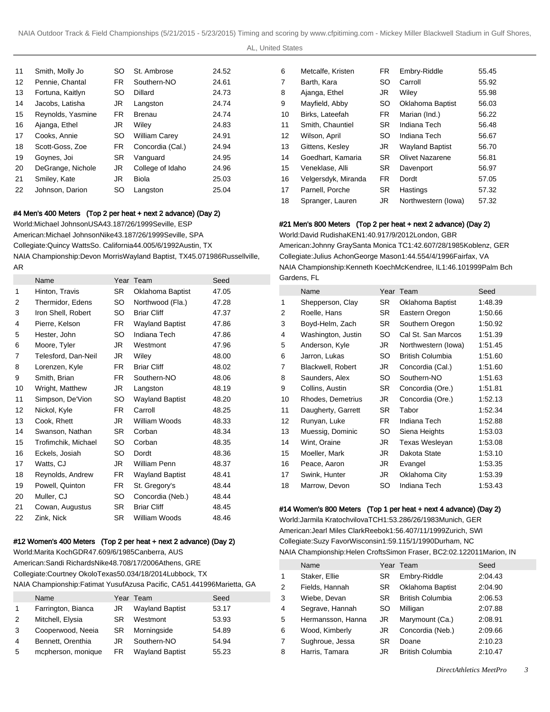AL, United States

| 11 | Smith, Molly Jo   | SO        | St. Ambrose          | 24.52 |
|----|-------------------|-----------|----------------------|-------|
| 12 | Pennie, Chantal   | FR.       | Southern-NO          | 24.61 |
| 13 | Fortuna, Kaitlyn  | SO        | Dillard              | 24.73 |
| 14 | Jacobs, Latisha   | JR.       | Langston             | 24.74 |
| 15 | Reynolds, Yasmine | FR.       | Brenau               | 24.74 |
| 16 | Ajanga, Ethel     | JR        | Wiley                | 24.83 |
| 17 | Cooks, Annie      | SO        | <b>William Carey</b> | 24.91 |
| 18 | Scott-Goss, Zoe   | FR.       | Concordia (Cal.)     | 24.94 |
| 19 | Goynes, Joi       | <b>SR</b> | Vanguard             | 24.95 |
| 20 | DeGrange, Nichole | JR        | College of Idaho     | 24.96 |
| 21 | Smiley, Kate      | JR        | Biola                | 25.03 |
| 22 | Johnson, Darion   | SO        | Langston             | 25.04 |

## #4 Men's 400 Meters (Top 2 per heat + next 2 advance) (Day 2)

World: Michael Johnson USA 43.18 7/26/1999 Seville, ESP American: Michael Johnson Nike 43.18 7/26/1999 Seville, SPA Collegiate: Quincy Watts So. California 44.00 5/6/1992 Austin, TX NAIA Championship: Devon Morris Wayland Baptist, TX 45.07 1986Russellville, AR

|    | Name                | Year      | Team                   | Seed  |
|----|---------------------|-----------|------------------------|-------|
| 1  | Hinton, Travis      | <b>SR</b> | Oklahoma Baptist       | 47.05 |
| 2  | Thermidor, Edens    | SO        | Northwood (Fla.)       | 47.28 |
| 3  | Iron Shell, Robert  | SO.       | <b>Briar Cliff</b>     | 47.37 |
| 4  | Pierre, Kelson      | FR.       | <b>Wayland Baptist</b> | 47.86 |
| 5  | Hester, John        | SO        | Indiana Tech           | 47.86 |
| 6  | Moore, Tyler        | JR        | Westmont               | 47.96 |
| 7  | Telesford, Dan-Neil | JR        | Wiley                  | 48.00 |
| 8  | Lorenzen, Kyle      | FR.       | <b>Briar Cliff</b>     | 48.02 |
| 9  | Smith, Brian        | FR.       | Southern-NO            | 48.06 |
| 10 | Wright, Matthew     | JR        | Langston               | 48.19 |
| 11 | Simpson, De'Vion    | SO        | <b>Wayland Baptist</b> | 48.20 |
| 12 | Nickol, Kyle        | FR.       | Carroll                | 48.25 |
| 13 | Cook, Rhett         | JR        | William Woods          | 48.33 |
| 14 | Swanson, Nathan     | SR.       | Corban                 | 48.34 |
| 15 | Trofimchik, Michael | SO        | Corban                 | 48.35 |
| 16 | Eckels, Josiah      | SO        | Dordt                  | 48.36 |
| 17 | Watts, CJ           | JR        | William Penn           | 48.37 |
| 18 | Reynolds, Andrew    | FR.       | <b>Wayland Baptist</b> | 48.41 |
| 19 | Powell, Quinton     | FR.       | St. Gregory's          | 48.44 |
| 20 | Muller, CJ          | SO        | Concordia (Neb.)       | 48.44 |
| 21 | Cowan, Augustus     | SR        | <b>Briar Cliff</b>     | 48.45 |
| 22 | Zink, Nick          | <b>SR</b> | William Woods          | 48.46 |

### #12 Women's 400 Meters (Top 2 per heat + next 2 advance) (Day 2)

World: Marita Koch GDR 47.60 9/6/1985 Canberra, AUS American: Sandi Richards Nike 48.70 8/17/2006 Athens, GRE Collegiate: Courtney Okolo Texas 50.03 4/18/2014 Lubbock, TX NAIA Championship: Fatimat Yusuf Azusa Pacific, CA 51.44 1996Marietta, GA

|   | Name               |    | Year Team              | Seed  |
|---|--------------------|----|------------------------|-------|
|   | Farrington, Bianca | JR | <b>Wayland Baptist</b> | 53.17 |
| 2 | Mitchell, Elysia   | SR | Westmont               | 53.93 |
| 3 | Cooperwood, Neeia  | SR | Morningside            | 54.89 |
| 4 | Bennett, Orenthia  | JR | Southern-NO            | 54.94 |
| 5 | mcpherson, monique | FR | <b>Wayland Baptist</b> | 55.23 |

| 6  | Metcalfe, Kristen   | <b>FR</b> | Embry-Riddle            | 55.45 |
|----|---------------------|-----------|-------------------------|-------|
| 7  | Barth, Kara         | SO        | Carroll                 | 55.92 |
| 8  | Ajanga, Ethel       | JR        | Wiley                   | 55.98 |
| 9  | Mayfield, Abby      | SO        | <b>Oklahoma Baptist</b> | 56.03 |
| 10 | Birks, Lateefah     | <b>FR</b> | Marian (Ind.)           | 56.22 |
| 11 | Smith, Chauntiel    | <b>SR</b> | Indiana Tech            | 56.48 |
| 12 | Wilson, April       | SO        | Indiana Tech            | 56.67 |
| 13 | Gittens, Kesley     | JR        | <b>Wayland Baptist</b>  | 56.70 |
| 14 | Goedhart, Kamaria   | <b>SR</b> | <b>Olivet Nazarene</b>  | 56.81 |
| 15 | Veneklase, Alli     | <b>SR</b> | Davenport               | 56.97 |
| 16 | Velgersdyk, Miranda | FR        | Dordt                   | 57.05 |
| 17 | Parnell, Porche     | <b>SR</b> | Hastings                | 57.32 |
| 18 | Spranger, Lauren    | JR        | Northwestern (lowa)     | 57.32 |

## #21 Men's 800 Meters (Top 2 per heat + next 2 advance) (Day 2)

World: David Rudisha KEN 1:40.91 7/9/2012 London, GBR American: Johnny Gray Santa Monica TC 1:42.60 7/28/1985 Koblenz, GER Collegiate: Julius Achon George Mason 1:44.55 4/4/1996 Fairfax, VA NAIA Championship: Kenneth Koech McKendree, IL 1:46.10 1999Palm Bch Gardens, FL

|                | Name               |     | Year Team               | Seed    |
|----------------|--------------------|-----|-------------------------|---------|
| 1              | Shepperson, Clay   | SR  | Oklahoma Baptist        | 1:48.39 |
| $\overline{2}$ | Roelle, Hans       | SR. | Eastern Oregon          | 1:50.66 |
| 3              | Boyd-Helm, Zach    | SR. | Southern Oregon         | 1:50.92 |
| 4              | Washington, Justin | SO  | Cal St. San Marcos      | 1:51.39 |
| 5              | Anderson, Kyle     | JR  | Northwestern (lowa)     | 1:51.45 |
| 6              | Jarron, Lukas      | SO  | <b>British Columbia</b> | 1:51.60 |
| 7              | Blackwell, Robert  | JR  | Concordia (Cal.)        | 1:51.60 |
| 8              | Saunders, Alex     | SO  | Southern-NO             | 1:51.63 |
| 9              | Collins, Austin    | SR  | Concordia (Ore.)        | 1:51.81 |
| 10             | Rhodes, Demetrius  | JR  | Concordia (Ore.)        | 1:52.13 |
| 11             | Daugherty, Garrett | SR  | Tabor                   | 1:52.34 |
| 12             | Runyan, Luke       | FR  | Indiana Tech            | 1:52.88 |
| 13             | Muessig, Dominic   | SO  | Siena Heights           | 1:53.03 |
| 14             | Wint, Oraine       | JR  | Texas Wesleyan          | 1:53.08 |
| 15             | Moeller, Mark      | JR  | Dakota State            | 1:53.10 |
| 16             | Peace, Aaron       | JR  | Evangel                 | 1:53.35 |
| 17             | Swink, Hunter      | JR  | Oklahoma City           | 1:53.39 |
| 18             | Marrow, Devon      | SO  | Indiana Tech            | 1:53.43 |

### #14 Women's 800 Meters (Top 1 per heat + next 4 advance) (Day 2)

World: Jarmila Kratochvilova TCH 1:53.28 6/26/1983 Munich, GER American: Jearl Miles Clark Reebok 1:56.40 7/11/1999 Zurich, SWI Collegiate: Suzy Favor Wisconsin 1:59.11 5/1/1990 Durham, NC NAIA Championship: Helen Crofts Simon Fraser, BC 2:02.12 2011Marion, IN

|                | Name              |           | Year Team               | Seed    |
|----------------|-------------------|-----------|-------------------------|---------|
| 1              | Staker, Ellie     | <b>SR</b> | Embry-Riddle            | 2:04.43 |
| 2              | Fields, Hannah    | SR.       | Oklahoma Baptist        | 2:04.90 |
| 3              | Wiebe, Devan      | SR.       | <b>British Columbia</b> | 2:06.53 |
| 4              | Segrave, Hannah   | SO        | Milligan                | 2:07.88 |
| 5              | Hermansson, Hanna | JR        | Marymount (Ca.)         | 2:08.91 |
| 6              | Wood, Kimberly    | JR        | Concordia (Neb.)        | 2:09.66 |
| $\overline{7}$ | Sughroue, Jessa   | <b>SR</b> | Doane                   | 2:10.23 |
| 8              | Harris, Tamara    | JR        | <b>British Columbia</b> | 2:10.47 |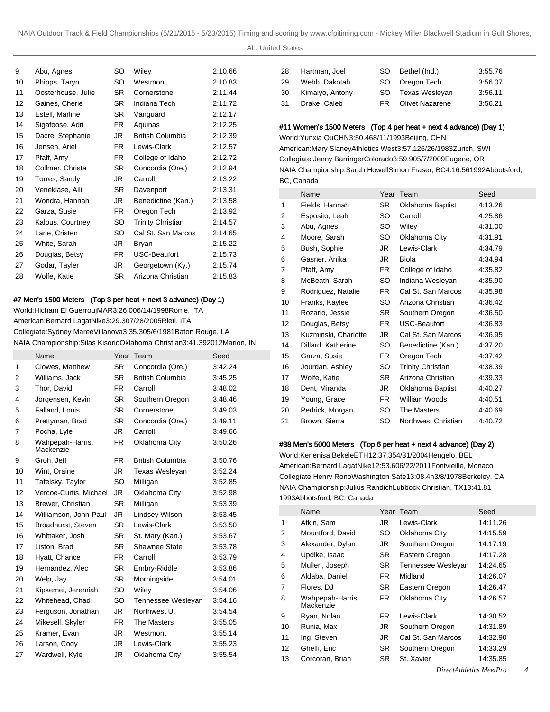AL, United States

| 9  | Abu, Agnes         | SO        | Wiley                    | 2:10.66 |
|----|--------------------|-----------|--------------------------|---------|
| 10 | Phipps, Taryn      | SO.       | Westmont                 | 2:10.83 |
| 11 | Oosterhouse, Julie | SR.       | Cornerstone              | 2:11.44 |
| 12 | Gaines, Cherie     | SR.       | Indiana Tech             | 2:11.72 |
| 13 | Estell, Marline    | SR.       | Vanguard                 | 2:12.17 |
| 14 | Sigafoose, Adri    | FR.       | Aquinas                  | 2:12.25 |
| 15 | Dacre, Stephanie   | JR        | British Columbia         | 2:12.39 |
| 16 | Jensen, Ariel      | FR.       | Lewis-Clark              | 2:12.57 |
| 17 | Pfaff, Amy         | FR.       | College of Idaho         | 2:12.72 |
| 18 | Collmer, Christa   | SR.       | Concordia (Ore.)         | 2:12.94 |
| 19 | Torres, Sandy      | JR.       | Carroll                  | 2:13.22 |
| 20 | Veneklase, Alli    | SR.       | Davenport                | 2:13.31 |
| 21 | Wondra, Hannah     | JR        | Benedictine (Kan.)       | 2:13.58 |
| 22 | Garza, Susie       | FR.       | Oregon Tech              | 2:13.92 |
| 23 | Kalous, Courtney   | SO.       | <b>Trinity Christian</b> | 2:14.57 |
| 24 | Lane, Cristen      | SO.       | Cal St. San Marcos       | 2:14.65 |
| 25 | White, Sarah       | JR        | Bryan                    | 2:15.22 |
| 26 | Douglas, Betsy     | FR.       | USC-Beaufort             | 2:15.73 |
| 27 | Godar, Tayler      | JR        | Georgetown (Ky.)         | 2:15.74 |
| 28 | Wolfe, Katie       | <b>SR</b> | Arizona Christian        | 2:15.83 |
|    |                    |           |                          |         |

## #7 Men's 1500 Meters (Top 3 per heat + next 3 advance) (Day 1)

World: Hicham El Guerrouj MAR 3:26.00 6/14/1998 Rome, ITA American: Bernard Lagat Nike 3:29.30 7/28/2005 Rieti, ITA Collegiate: Sydney Maree Villanova 3:35.30 5/6/1981 Baton Rouge, LA NAIA Championship: Silas Kisorio Oklahoma Christian 3:41.39 2012Marion, IN

|    | Name                          |           | Year Team               | Seed    |
|----|-------------------------------|-----------|-------------------------|---------|
| 1  | Clowes, Matthew               | <b>SR</b> | Concordia (Ore.)        | 3:42.24 |
| 2  | Williams, Jack                | <b>SR</b> | <b>British Columbia</b> | 3:45.25 |
| 3  | Thor, David                   | FR.       | Carroll                 | 3:48.02 |
| 4  | Jorgensen, Kevin              | <b>SR</b> | Southern Oregon         | 3:48.46 |
| 5  | Falland, Louis                | <b>SR</b> | Cornerstone             | 3:49.03 |
| 6  | Prettyman, Brad               | <b>SR</b> | Concordia (Ore.)        | 3:49.11 |
| 7  | Pocha, Lyle                   | JR.       | Carroll                 | 3:49.66 |
| 8  | Wahpepah-Harris,<br>Mackenzie | <b>FR</b> | Oklahoma City           | 3:50.26 |
| 9  | Groh, Jeff                    | FR.       | <b>British Columbia</b> | 3:50.76 |
| 10 | Wint, Oraine                  | JR.       | <b>Texas Wesleyan</b>   | 3:52.24 |
| 11 | Tafelsky, Taylor              | SO        | Milligan                | 3:52.85 |
| 12 | Vercoe-Curtis, Michael        | <b>JR</b> | Oklahoma City           | 3:52.98 |
| 13 | Brewer, Christian             | <b>SR</b> | Milligan                | 3:53.39 |
| 14 | Williamson, John-Paul         | JR        | Lindsey Wilson          | 3:53.45 |
| 15 | Broadhurst, Steven            | <b>SR</b> | Lewis-Clark             | 3:53.50 |
| 16 | Whittaker, Josh               | <b>SR</b> | St. Mary (Kan.)         | 3:53.67 |
| 17 | Liston, Brad                  | <b>SR</b> | Shawnee State           | 3:53.78 |
| 18 | Hyatt, Chance                 | FR.       | Carroll                 | 3:53.79 |
| 19 | Hernandez, Alec               | <b>SR</b> | Embry-Riddle            | 3:53.86 |
| 20 | Welp, Jay                     | <b>SR</b> | Morningside             | 3:54.01 |
| 21 | Kipkemei, Jeremiah            | SO        | Wiley                   | 3:54.06 |
| 22 | Whitehead, Chad               | SO        | Tennessee Wesleyan      | 3:54.16 |
| 23 | Ferguson, Jonathan            | JR.       | Northwest U.            | 3:54.54 |
| 24 | Mikesell, Skyler              | FR.       | The Masters             | 3:55.05 |
| 25 | Kramer, Evan                  | JR        | Westmont                | 3:55.14 |
| 26 | Larson, Cody                  | JR.       | Lewis-Clark             | 3:55.23 |
| 27 | Wardwell, Kyle                | JR.       | Oklahoma City           | 3:55.54 |

| 28 | Hartman, Joel   | SO. | Bethel (Ind.)          | 3:55.76 |
|----|-----------------|-----|------------------------|---------|
| 29 | Webb, Dakotah   |     | SO Oregon Tech         | 3:56.07 |
| 30 | Kimaiyo, Antony |     | SO Texas Wesleyan      | 3.56.11 |
| 31 | Drake, Caleb    | FR. | <b>Olivet Nazarene</b> | 3.56.21 |

#### #11 Women's 1500 Meters (Top 4 per heat + next 4 advance) (Day 1)

World: Yunxia Qu CHN 3:50.46 8/11/1993 Beijing, CHN American: Mary Slaney Athletics West 3:57.12 6/26/1983 Zurich, SWI Collegiate: Jenny Barringer Colorado 3:59.90 5/7/2009 Eugene, OR NAIA Championship: Sarah Howell Simon Fraser, BC 4:16.56 1992Abbotsford, BC, Canada

|    | Name                 |           | Year Team                | Seed    |
|----|----------------------|-----------|--------------------------|---------|
| 1  | Fields, Hannah       | <b>SR</b> | Oklahoma Baptist         | 4:13.26 |
| 2  | Esposito, Leah       | SO        | Carroll                  | 4:25.86 |
| 3  | Abu, Agnes           | SO.       | Wiley                    | 4:31.00 |
| 4  | Moore, Sarah         | SO        | Oklahoma City            | 4:31.91 |
| 5  | Bush, Sophie         | JR        | Lewis-Clark              | 4:34.79 |
| 6  | Gasner, Anika        | JR        | <b>Biola</b>             | 4:34.94 |
| 7  | Pfaff, Amy           | FR.       | College of Idaho         | 4:35.82 |
| 8  | McBeath, Sarah       | SO        | Indiana Wesleyan         | 4:35.90 |
| 9  | Rodriguez, Natalie   | FR        | Cal St. San Marcos       | 4:35.98 |
| 10 | Franks, Kaylee       | SO.       | Arizona Christian        | 4:36.42 |
| 11 | Rozario, Jessie      | SR        | Southern Oregon          | 4:36.50 |
| 12 | Douglas, Betsy       | FR        | USC-Beaufort             | 4:36.83 |
| 13 | Kuzminski, Charlotte | JR        | Cal St. San Marcos       | 4:36.95 |
| 14 | Dillard, Katherine   | SO        | Benedictine (Kan.)       | 4:37.20 |
| 15 | Garza, Susie         | FR        | Oregon Tech              | 4:37.42 |
| 16 | Jourdan, Ashley      | SO        | <b>Trinity Christian</b> | 4:38.39 |
| 17 | Wolfe, Katie         | SR        | Arizona Christian        | 4:39.33 |
| 18 | Dent, Miranda        | JR        | Oklahoma Baptist         | 4:40.27 |
| 19 | Young, Grace         | FR.       | William Woods            | 4:40.51 |
| 20 | Pedrick, Morgan      | SO        | The Masters              | 4:40.69 |
| 21 | Brown, Sierra        | SO.       | Northwest Christian      | 4:40.72 |

## #38 Men's 5000 Meters (Top 6 per heat + next 4 advance) (Day 2)

World: Kenenisa Bekele ETH 12:37.35 4/31/2004 Hengelo, BEL American: Bernard Lagat Nike 12:53.60 6/22/2011 Fontvieille, Monaco Collegiate: Henry Rono Washington Sate 13:08.4h 3/8/1978 Berkeley, CA NAIA Championship: Julius Randich Lubbock Christian, TX 13:41.81 1993Abbotsford, BC, Canada

|    | Name                          |     | Year Team          | Seed     |
|----|-------------------------------|-----|--------------------|----------|
| 1  | Atkin, Sam                    | JR  | Lewis-Clark        | 14:11.26 |
| 2  | Mountford, David              | SO. | Oklahoma City      | 14:15.59 |
| 3  | Alexander, Dylan              | JR. | Southern Oregon    | 14:17.19 |
| 4  | Updike, Isaac                 | SR. | Eastern Oregon     | 14:17.28 |
| 5  | Mullen, Joseph                | SR. | Tennessee Wesleyan | 14:24.65 |
| 6  | Aldaba, Daniel                | FR. | Midland            | 14:26.07 |
| 7  | Flores, DJ                    | SR. | Eastern Oregon     | 14:26.47 |
| 8  | Wahpepah-Harris,<br>Mackenzie | FR. | Oklahoma City      | 14:26.57 |
| 9  | Ryan, Nolan                   | FR. | Lewis-Clark        | 14:30.52 |
| 10 | Runia, Max                    | JR. | Southern Oregon    | 14:31.89 |
| 11 | Ing, Steven                   | JR. | Cal St. San Marcos | 14:32.90 |
| 12 | Ghelfi, Eric                  | SR. | Southern Oregon    | 14:33.29 |
| 13 | Corcoran, Brian               | SR. | St. Xavier         | 14:35.85 |
|    |                               |     |                    |          |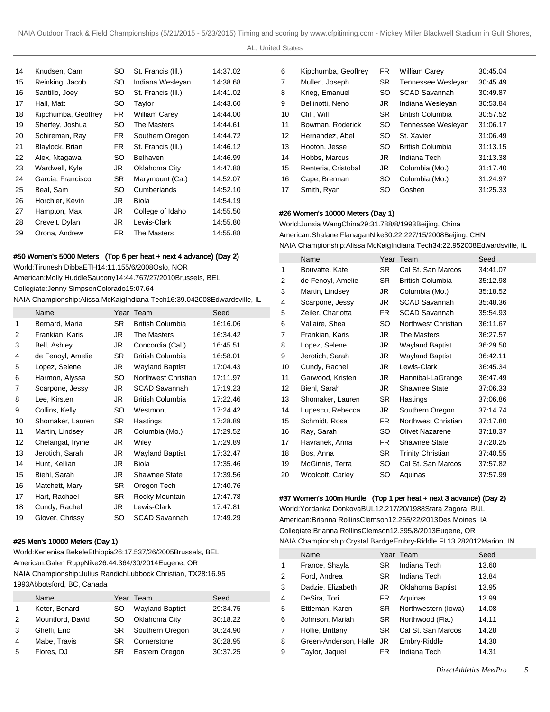| 14 | Knudsen, Cam        | SO  | St. Francis (III.)   | 14:37.02 |
|----|---------------------|-----|----------------------|----------|
| 15 | Reinking, Jacob     | SO. | Indiana Wesleyan     | 14:38.68 |
| 16 | Santillo, Joey      | SO  | St. Francis (III.)   | 14:41.02 |
| 17 | Hall, Matt          | SO  | Taylor               | 14:43.60 |
| 18 | Kipchumba, Geoffrey | FR. | <b>William Carey</b> | 14:44.00 |
| 19 | Sherfey, Joshua     | SO. | The Masters          | 14:44.61 |
| 20 | Schireman, Ray      | FR. | Southern Oregon      | 14:44.72 |
| 21 | Blaylock, Brian     | FR. | St. Francis (III.)   | 14:46.12 |
| 22 | Alex, Ntagawa       | SO. | Belhaven             | 14:46.99 |
| 23 | Wardwell, Kyle      | JR  | Oklahoma City        | 14:47.88 |
| 24 | Garcia, Francisco   | SR. | Marymount (Ca.)      | 14:52.07 |
| 25 | Beal, Sam           | SO  | Cumberlands          | 14:52.10 |
| 26 | Horchler, Kevin     | JR  | Biola                | 14:54.19 |
| 27 | Hampton, Max        | JR  | College of Idaho     | 14:55.50 |
| 28 | Crevelt, Dylan      | JR. | Lewis-Clark          | 14:55.80 |
| 29 | Orona, Andrew       | FR. | The Masters          | 14:55.88 |

### #50 Women's 5000 Meters (Top 6 per heat + next 4 advance) (Day 2)

World: Tirunesh Dibba ETH 14:11.15 5/6/2008 Oslo, NOR American: Molly Huddle Saucony 14:44.76 7/27/2010 Brussels, BEL Collegiate: Jenny Simpson Colorado 15:07.64

NAIA Championship: Alissa McKaig Indiana Tech 16:39.04 2008Edwardsville, IL

|    | Name              |     | Year Team               | Seed     |
|----|-------------------|-----|-------------------------|----------|
| 1  | Bernard, Maria    | SR. | <b>British Columbia</b> | 16:16.06 |
| 2  | Frankian, Karis   | JR  | The Masters             | 16:34.42 |
| 3  | Bell, Ashley      | JR  | Concordia (Cal.)        | 16:45.51 |
| 4  | de Fenoyl, Amelie | SR. | <b>British Columbia</b> | 16:58.01 |
| 5  | Lopez, Selene     | JR  | <b>Wayland Baptist</b>  | 17:04.43 |
| 6  | Harmon, Alyssa    | SO. | Northwest Christian     | 17:11.97 |
| 7  | Scarpone, Jessy   | JR  | <b>SCAD Savannah</b>    | 17:19.23 |
| 8  | Lee, Kirsten      | JR  | <b>British Columbia</b> | 17:22.46 |
| 9  | Collins, Kelly    | SO  | Westmont                | 17:24.42 |
| 10 | Shomaker, Lauren  | SR. | Hastings                | 17:28.89 |
| 11 | Martin, Lindsey   | JR  | Columbia (Mo.)          | 17:29.52 |
| 12 | Chelangat, Iryine | JR  | Wiley                   | 17:29.89 |
| 13 | Jerotich, Sarah   | JR  | <b>Wayland Baptist</b>  | 17:32.47 |
| 14 | Hunt, Kellian     | JR. | <b>Biola</b>            | 17:35.46 |
| 15 | Biehl, Sarah      | JR  | <b>Shawnee State</b>    | 17:39.56 |
| 16 | Matchett, Mary    | SR  | Oregon Tech             | 17:40.76 |
| 17 | Hart, Rachael     | SR. | Rocky Mountain          | 17:47.78 |
| 18 | Cundy, Rachel     | JR  | Lewis-Clark             | 17:47.81 |
| 19 | Glover, Chrissy   | SO  | <b>SCAD Savannah</b>    | 17:49.29 |

#### #25 Men's 10000 Meters (Day 1)

World: Kenenisa Bekele Ethiopia 26:17.53 7/26/2005 Brussels, BEL American: Galen Rupp Nike 26:44.36 4/30/2014 Eugene, OR NAIA Championship: Julius Randich Lubbock Christian, TX 28:16.95 1993Abbotsford, BC, Canada

|   | Name             |     | Year Team              | Seed     |
|---|------------------|-----|------------------------|----------|
|   | Keter, Benard    | SO  | <b>Wayland Baptist</b> | 29:34.75 |
| 2 | Mountford, David | SO. | Oklahoma City          | 30:18.22 |
| 3 | Ghelfi, Eric     | SR. | Southern Oregon        | 30:24.90 |
| 4 | Mabe, Travis     | SR  | Cornerstone            | 30:28.95 |
| 5 | Flores, DJ       | SR. | Eastern Oregon         | 30:37.25 |

| Kipchumba, Geoffrey | FR.       | <b>William Carey</b>    | 30:45.04 |
|---------------------|-----------|-------------------------|----------|
| Mullen, Joseph      | <b>SR</b> | Tennessee Wesleyan      | 30:45.49 |
| Krieg, Emanuel      | SO        | <b>SCAD Savannah</b>    | 30:49.87 |
| Bellinotti, Neno    | JR        | Indiana Wesleyan        | 30:53.84 |
| Cliff. Will         | <b>SR</b> | <b>British Columbia</b> | 30:57.52 |
| Bowman, Roderick    | SO        | Tennessee Wesleyan      | 31:06.17 |
| Hernandez, Abel     | SO        | St. Xavier              | 31:06.49 |
| Hooton, Jesse       | SO        | <b>British Columbia</b> | 31:13.15 |
| Hobbs, Marcus       | JR.       | Indiana Tech            | 31:13.38 |
| Renteria, Cristobal | JR        | Columbia (Mo.)          | 31:17.40 |
| Cape, Brennan       | SO        | Columbia (Mo.)          | 31:24.97 |
| Smith, Ryan         | SO        | Goshen                  | 31:25.33 |
|                     |           |                         |          |

## #26 Women's 10000 Meters (Day 1)

World: Junxia Wang China 29:31.78 8/8/1993 Beijing, China American: Shalane Flanagan Nike 30:22.22 7/15/2008 Beijing, CHN NAIA Championship: Alissa McKaig Indiana Tech 34:22.95 2008Edwardsville, IL

|    | Name              |     | Year Team                | Seed     |
|----|-------------------|-----|--------------------------|----------|
| 1  | Bouvatte, Kate    | SR  | Cal St. San Marcos       | 34:41.07 |
| 2  | de Fenoyl, Amelie | SR. | <b>British Columbia</b>  | 35:12.98 |
| 3  | Martin, Lindsey   | JR  | Columbia (Mo.)           | 35:18.52 |
| 4  | Scarpone, Jessy   | JR  | <b>SCAD Savannah</b>     | 35:48.36 |
| 5  | Zeiler, Charlotta | FR. | <b>SCAD Savannah</b>     | 35:54.93 |
| 6  | Vallaire, Shea    | SO  | Northwest Christian      | 36:11.67 |
| 7  | Frankian, Karis   | JR  | The Masters              | 36:27.57 |
| 8  | Lopez, Selene     | JR  | <b>Wayland Baptist</b>   | 36:29.50 |
| 9  | Jerotich, Sarah   | JR  | <b>Wayland Baptist</b>   | 36:42.11 |
| 10 | Cundy, Rachel     | JR  | Lewis-Clark              | 36:45.34 |
| 11 | Garwood, Kristen  | JR  | Hannibal-LaGrange        | 36:47.49 |
| 12 | Biehl, Sarah      | JR  | Shawnee State            | 37:06.33 |
| 13 | Shomaker, Lauren  | SR  | Hastings                 | 37:06.86 |
| 14 | Lupescu, Rebecca  | JR  | Southern Oregon          | 37:14.74 |
| 15 | Schmidt, Rosa     | FR. | Northwest Christian      | 37:17.80 |
| 16 | Ray, Sarah        | SO. | <b>Olivet Nazarene</b>   | 37:18.37 |
| 17 | Havranek, Anna    | FR  | Shawnee State            | 37:20.25 |
| 18 | Bos, Anna         | SR  | <b>Trinity Christian</b> | 37:40.55 |
| 19 | McGinnis, Terra   | SO  | Cal St. San Marcos       | 37:57.82 |
| 20 | Woolcott, Carley  | SO  | Aquinas                  | 37:57.99 |

#### #37 Women's 100m Hurdle (Top 1 per heat + next 3 advance) (Day 2)

World: Yordanka Donkova BUL 12.21 7/20/1988 Stara Zagora, BUL American: Brianna Rollins Clemson 12.26 5/22/2013 Des Moines, IA Collegiate: Brianna Rollins Clemson 12.39 5/8/2013 Eugene, OR NAIA Championship: Crystal Bardge Embry-Riddle FL 13.28 2012Marion, IN

|   | Name                  |           | Year Team           | Seed  |
|---|-----------------------|-----------|---------------------|-------|
| 1 | France, Shayla        | SR.       | Indiana Tech        | 13.60 |
| 2 | Ford, Andrea          | SR.       | Indiana Tech        | 13.84 |
| 3 | Dadzie, Elizabeth     | JR        | Oklahoma Baptist    | 13.95 |
| 4 | DeSira, Tori          | FR.       | Aquinas             | 13.99 |
| 5 | Ettleman, Karen       | SR        | Northwestern (lowa) | 14.08 |
| 6 | Johnson, Mariah       | SR        | Northwood (Fla.)    | 14.11 |
| 7 | Hollie, Brittany      | <b>SR</b> | Cal St. San Marcos  | 14.28 |
| 8 | Green-Anderson, Halle | JR        | Embry-Riddle        | 14.30 |
| 9 | Taylor, Jaquel        | FR        | Indiana Tech        | 14.31 |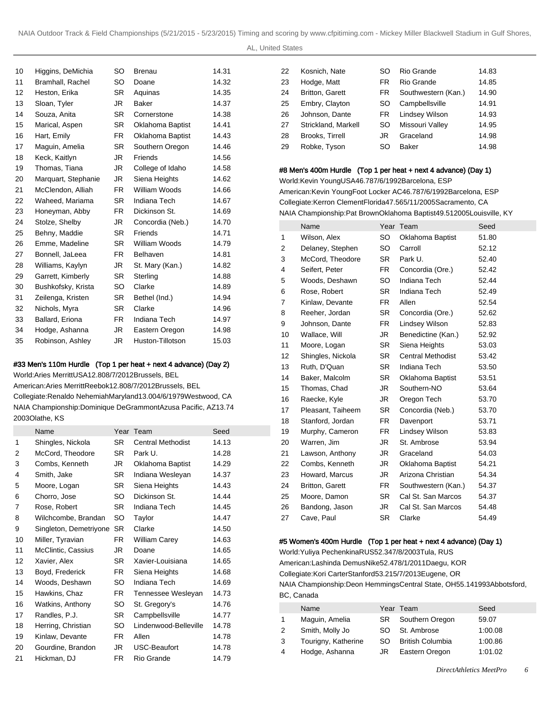AL, United States

| 10 | Higgins, DeMichia   | SO        | <b>Brenau</b>       | 14.31 |
|----|---------------------|-----------|---------------------|-------|
| 11 | Bramhall, Rachel    | SO        | Doane               | 14.32 |
| 12 | Heston, Erika       | <b>SR</b> | Aquinas             | 14.35 |
| 13 | Sloan, Tyler        | JR        | Baker               | 14.37 |
| 14 | Souza, Anita        | <b>SR</b> | Cornerstone         | 14.38 |
| 15 | Marical, Aspen      | <b>SR</b> | Oklahoma Baptist    | 14.41 |
| 16 | Hart, Emily         | FR.       | Oklahoma Baptist    | 14.43 |
| 17 | Maguin, Amelia      | <b>SR</b> | Southern Oregon     | 14.46 |
| 18 | Keck, Kaitlyn       | JR        | Friends             | 14.56 |
| 19 | Thomas, Tiana       | JR.       | College of Idaho    | 14.58 |
| 20 | Marquart, Stephanie | JR        | Siena Heights       | 14.62 |
| 21 | McClendon, Alliah   | FR.       | William Woods       | 14.66 |
| 22 | Waheed, Mariama     | SR.       | <b>Indiana Tech</b> | 14.67 |
| 23 | Honeyman, Abby      | FR.       | Dickinson St.       | 14.69 |
| 24 | Stolze, Shelby      | JR.       | Concordia (Neb.)    | 14.70 |
| 25 | Behny, Maddie       | <b>SR</b> | Friends             | 14.71 |
| 26 | Emme, Madeline      | SR.       | William Woods       | 14.79 |
| 27 | Bonnell, JaLeea     | FR.       | Belhaven            | 14.81 |
| 28 | Williams, Kaylyn    | JR        | St. Mary (Kan.)     | 14.82 |
| 29 | Garrett, Kimberly   | <b>SR</b> | Sterling            | 14.88 |
| 30 | Bushkofsky, Krista  | SO        | Clarke              | 14.89 |
| 31 | Zeilenga, Kristen   | SR.       | Bethel (Ind.)       | 14.94 |
| 32 | Nichols, Myra       | <b>SR</b> | Clarke              | 14.96 |
| 33 | Ballard, Eriona     | FR.       | Indiana Tech        | 14.97 |
| 34 | Hodge, Ashanna      | JR        | Eastern Oregon      | 14.98 |
| 35 | Robinson, Ashley    | <b>JR</b> | Huston-Tillotson    | 15.03 |

## #33 Men's 110m Hurdle (Top 1 per heat + next 4 advance) (Day 2)

World: Aries Merritt USA 12.80 8/7/2012 Brussels, BEL American: Aries Merritt Reebok 12.80 8/7/2012 Brussels, BEL Collegiate: Renaldo Nehemiah Maryland 13.00 4/6/1979 Westwood, CA NAIA Championship: Dominique DeGrammont Azusa Pacific, AZ 13.74 2003Olathe, KS

|    | Name                   | Year      | Team                     | Seed  |
|----|------------------------|-----------|--------------------------|-------|
| 1  | Shingles, Nickola      | <b>SR</b> | <b>Central Methodist</b> | 14.13 |
| 2  | McCord, Theodore       | SR.       | Park U.                  | 14.28 |
| 3  | Combs, Kenneth         | JR        | Oklahoma Baptist         | 14.29 |
| 4  | Smith, Jake            | SR        | Indiana Wesleyan         | 14.37 |
| 5  | Moore, Logan           | SR.       | Siena Heights            | 14.43 |
| 6  | Chorro, Jose           | SO        | Dickinson St.            | 14.44 |
| 7  | Rose, Robert           | SR        | Indiana Tech             | 14.45 |
| 8  | Wilchcombe, Brandan    | SO        | Taylor                   | 14.47 |
| 9  | Singleton, Demetriyone | SR.       | Clarke                   | 14.50 |
| 10 | Miller, Tyravian       | FR.       | <b>William Carey</b>     | 14.63 |
| 11 | McClintic, Cassius     | JR        | Doane                    | 14.65 |
| 12 | Xavier, Alex           | SR.       | Xavier-Louisiana         | 14.65 |
| 13 | Boyd, Frederick        | FR.       | Siena Heights            | 14.68 |
| 14 | Woods, Deshawn         | SO        | Indiana Tech             | 14.69 |
| 15 | Hawkins, Chaz          | FR.       | Tennessee Wesleyan       | 14.73 |
| 16 | Watkins, Anthony       | SO        | St. Gregory's            | 14.76 |
| 17 | Randles, P.J.          | SR        | Campbellsville           | 14.77 |
| 18 | Herring, Christian     | SO        | Lindenwood-Belleville    | 14.78 |
| 19 | Kinlaw, Devante        | FR.       | Allen                    | 14.78 |
| 20 | Gourdine, Brandon      | JR        | USC-Beaufort             | 14.78 |
| 21 | Hickman, DJ            | FR.       | Rio Grande               | 14.79 |
|    |                        |           |                          |       |

| 22 | Kosnich, Nate          | SO  | Rio Grande            | 14.83 |
|----|------------------------|-----|-----------------------|-------|
|    |                        |     |                       |       |
| 23 | Hodge, Matt            | FR. | Rio Grande            | 14.85 |
| 24 | <b>Britton, Garett</b> | FR. | Southwestern (Kan.)   | 14.90 |
| 25 | Embry, Clayton         | SO  | Campbellsville        | 14.91 |
| 26 | Johnson, Dante         | FR. | <b>Lindsey Wilson</b> | 14.93 |
| 27 | Strickland, Markell    | SO  | Missouri Valley       | 14.95 |
| 28 | Brooks, Tirrell        | JR  | Graceland             | 14.98 |
| 29 | Robke, Tyson           | SO  | <b>Baker</b>          | 14.98 |
|    |                        |     |                       |       |

#### #8 Men's 400m Hurdle (Top 1 per heat + next 4 advance) (Day 1)

World: Kevin Young USA 46.78 7/6/1992 Barcelona, ESP American: Kevin Young Foot Locker AC 46.78 7/6/1992 Barcelona, ESP Collegiate: Kerron Clement Florida 47.56 5/11/2005 Sacramento, CA NAIA Championship: Pat Brown Oklahoma Baptist 49.51 2005Louisville, KY

|    | Name                   | Year      | Team                     | Seed  |
|----|------------------------|-----------|--------------------------|-------|
| 1  | Wilson, Alex           | SO.       | Oklahoma Baptist         | 51.80 |
| 2  | Delaney, Stephen       | SO        | Carroll                  | 52.12 |
| 3  | McCord, Theodore       | SR.       | Park U.                  | 52.40 |
| 4  | Seifert, Peter         | FR.       | Concordia (Ore.)         | 52.42 |
| 5  | Woods, Deshawn         | SO        | Indiana Tech             | 52.44 |
| 6  | Rose, Robert           | <b>SR</b> | Indiana Tech             | 52.49 |
| 7  | Kinlaw, Devante        | FR.       | Allen                    | 52.54 |
| 8  | Reeher, Jordan         | <b>SR</b> | Concordia (Ore.)         | 52.62 |
| 9  | Johnson, Dante         | FR.       | Lindsey Wilson           | 52.83 |
| 10 | Wallace, Will          | JR        | Benedictine (Kan.)       | 52.92 |
| 11 | Moore, Logan           | <b>SR</b> | Siena Heights            | 53.03 |
| 12 | Shingles, Nickola      | <b>SR</b> | <b>Central Methodist</b> | 53.42 |
| 13 | Ruth, D'Quan           | <b>SR</b> | Indiana Tech             | 53.50 |
| 14 | Baker, Malcolm         | <b>SR</b> | Oklahoma Baptist         | 53.51 |
| 15 | Thomas, Chad           | JR        | Southern-NO              | 53.64 |
| 16 | Raecke, Kyle           | JR        | Oregon Tech              | 53.70 |
| 17 | Pleasant, Taiheem      | <b>SR</b> | Concordia (Neb.)         | 53.70 |
| 18 | Stanford, Jordan       | FR.       | Davenport                | 53.71 |
| 19 | Murphy, Cameron        | FR        | Lindsey Wilson           | 53.83 |
| 20 | Warren, Jim            | JR        | St. Ambrose              | 53.94 |
| 21 | Lawson, Anthony        | JR        | Graceland                | 54.03 |
| 22 | Combs, Kenneth         | JR        | Oklahoma Baptist         | 54.21 |
| 23 | Howard, Marcus         | JR        | Arizona Christian        | 54.34 |
| 24 | <b>Britton, Garett</b> | FR        | Southwestern (Kan.)      | 54.37 |
| 25 | Moore, Damon           | <b>SR</b> | Cal St. San Marcos       | 54.37 |
| 26 | Bandong, Jason         | JR        | Cal St. San Marcos       | 54.48 |
| 27 | Cave, Paul             | <b>SR</b> | Clarke                   | 54.49 |
|    |                        |           |                          |       |

### #5 Women's 400m Hurdle (Top 1 per heat + next 4 advance) (Day 1)

World: Yuliya Pechenkina RUS 52.34 7/8/2003 Tula, RUS American: Lashinda Demus Nike 52.47 8/1/2011 Daegu, KOR Collegiate: Kori Carter Stanford 53.21 5/7/2013 Eugene, OR NAIA Championship: Deon Hemmings Central State, OH 55.14 1993Abbotsford, BC, Canada

|              | Name                |     | Year Team               | Seed    |
|--------------|---------------------|-----|-------------------------|---------|
| $\mathbf{1}$ | Maguin, Amelia      | SR. | Southern Oregon         | 59.07   |
| 2            | Smith, Molly Jo     | SO. | St. Ambrose             | 1:00.08 |
| 3            | Tourigny, Katherine | SO. | <b>British Columbia</b> | 1:00.86 |
| 4            | Hodge, Ashanna      | JR  | Eastern Oregon          | 1:01.02 |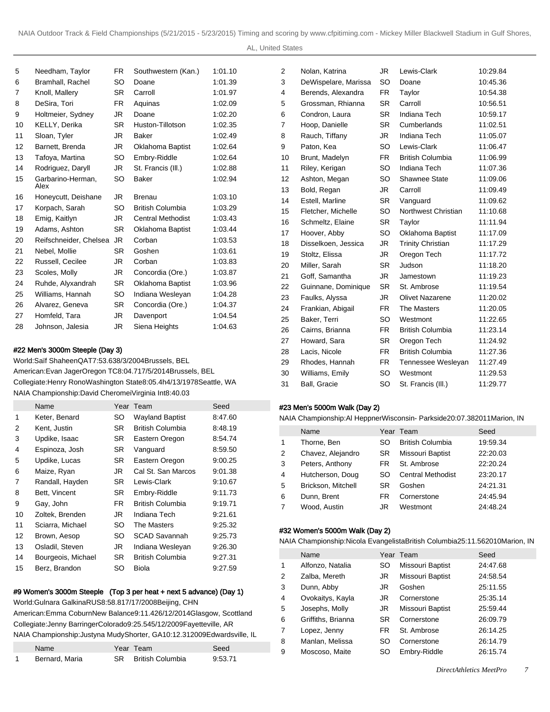AL, United States

| 5  | Needham, Taylor           | FR.       | Southwestern (Kan.)      | 1:01.10 |
|----|---------------------------|-----------|--------------------------|---------|
| 6  | Bramhall, Rachel          | SO        | Doane                    | 1:01.39 |
| 7  | Knoll, Mallery            | SR.       | Carroll                  | 1:01.97 |
| 8  | DeSira, Tori              | FR.       | Aquinas                  | 1:02.09 |
| 9  | Holtmeier, Sydney         | JR        | Doane                    | 1:02.20 |
| 10 | KELLY, Derika             | SR.       | Huston-Tillotson         | 1:02.35 |
| 11 | Sloan, Tyler              | JR        | <b>Baker</b>             | 1:02.49 |
| 12 | Barnett, Brenda           | JR        | <b>Oklahoma Baptist</b>  | 1:02.64 |
| 13 | Tafoya, Martina           | SO        | Embry-Riddle             | 1:02.64 |
| 14 | Rodriguez, Daryll         | JR        | St. Francis (III.)       | 1:02.88 |
| 15 | Garbarino-Herman,<br>Alex | SO        | <b>Baker</b>             | 1:02.94 |
| 16 | Honeycutt, Deishane       | JR        | <b>Brenau</b>            | 1:03.10 |
| 17 | Korpach, Sarah            | SO        | British Columbia         | 1:03.29 |
| 18 | Emig, Kaitlyn             | JR        | <b>Central Methodist</b> | 1:03.43 |
| 19 | Adams, Ashton             | <b>SR</b> | Oklahoma Baptist         | 1:03.44 |
| 20 | Reifschneider, Chelsea    | JR.       | Corban                   | 1:03.53 |
| 21 | Nebel, Mollie             | <b>SR</b> | Goshen                   | 1:03.61 |
| 22 | Russell, Cecilee          | JR        | Corban                   | 1:03.83 |
| 23 | Scoles, Molly             | JR        | Concordia (Ore.)         | 1:03.87 |
| 24 | Ruhde, Alyxandrah         | SR.       | Oklahoma Baptist         | 1:03.96 |
| 25 | Williams, Hannah          | SO        | Indiana Wesleyan         | 1:04.28 |
| 26 | Alvarez, Geneva           | SR.       | Concordia (Ore.)         | 1:04.37 |
| 27 | Homfeld, Tara             | JR        | Davenport                | 1:04.54 |
| 28 | Johnson, Jalesia          | JR        | Siena Heights            | 1:04.63 |

#### #22 Men's 3000m Steeple (Day 3)

World: Saïf Shaheen QAT 7:53.63 8/3/2004 Brussels, BEL American: Evan Jager Oregon TC 8:04.71 7/5/2014 Brussels, BEL Collegiate: Henry Rono Washington State 8:05.4h 4/13/1978 Seattle, WA NAIA Championship: David Cheromei Virginia Int 8:40.03

| Name               |           |                      | Seed      |
|--------------------|-----------|----------------------|-----------|
| Keter, Benard      | SO        | Wayland Baptist      | 8:47.60   |
| Kent, Justin       | SR.       | British Columbia     | 8:48.19   |
| Updike, Isaac      | SR.       | Eastern Oregon       | 8:54.74   |
| Espinoza, Josh     | SR.       | Vanguard             | 8:59.50   |
| Updike, Lucas      | <b>SR</b> | Eastern Oregon       | 9:00.25   |
| Maize, Ryan        | JR        | Cal St. San Marcos   | 9:01.38   |
| Randall, Hayden    | SR.       | Lewis-Clark          | 9:10.67   |
| Bett, Vincent      | SR.       | Embry-Riddle         | 9:11.73   |
| Gay, John          | FR.       | British Columbia     | 9:19.71   |
| Zoltek, Brenden    | JR.       | Indiana Tech         | 9:21.61   |
| Sciarra, Michael   | SO.       | The Masters          | 9:25.32   |
| Brown, Aesop       | SO.       | <b>SCAD Savannah</b> | 9:25.73   |
| Osladil, Steven    | JR.       | Indiana Wesleyan     | 9.26.30   |
| Bourgeois, Michael | <b>SR</b> | British Columbia     | 9:27.31   |
| Berz, Brandon      | SO        | Biola                | 9:27.59   |
|                    |           |                      | Year Team |

#### #9 Women's 3000m Steeple (Top 3 per heat + next 5 advance) (Day 1)

World: Gulnara Galkina RUS 8:58.81 7/17/2008 Beijing, CHN American: Emma Coburn New Balance 9:11.42 6/12/2014 Glasgow, Scottland Collegiate: Jenny Barringer Colorado 9:25.54 5/12/2009 Fayetteville, AR NAIA Championship: Justyna Mudy Shorter, GA 10:12.31 2009Edwardsville, IL

| Name           | Year Team                  | Seed    |
|----------------|----------------------------|---------|
| Bernard, Maria | <b>SR</b> British Columbia | 9:53.71 |

| 2  | Nolan, Katrina       | JR        | Lewis-Clark              | 10:29.84 |
|----|----------------------|-----------|--------------------------|----------|
| 3  | DeWispelare, Marissa | <b>SO</b> | Doane                    | 10:45.36 |
| 4  | Berends, Alexandra   | FR.       | Taylor                   | 10:54.38 |
| 5  | Grossman, Rhianna    | <b>SR</b> | Carroll                  | 10:56.51 |
| 6  | Condron, Laura       | <b>SR</b> | Indiana Tech             | 10:59.17 |
| 7  | Hoop, Danielle       | <b>SR</b> | Cumberlands              | 11:02.51 |
| 8  | Rauch, Tiffany       | JR.       | Indiana Tech             | 11:05.07 |
| 9  | Paton, Kea           | SO        | Lewis-Clark              | 11:06.47 |
| 10 | Brunt, Madelyn       | FR.       | <b>British Columbia</b>  | 11:06.99 |
| 11 | Riley, Kerigan       | <b>SO</b> | Indiana Tech             | 11:07.36 |
| 12 | Ashton, Megan        | <b>SO</b> | Shawnee State            | 11:09.06 |
| 13 | Bold, Regan          | JR.       | Carroll                  | 11:09.49 |
| 14 | Estell, Marline      | <b>SR</b> | Vanguard                 | 11:09.62 |
| 15 | Fletcher, Michelle   | <b>SO</b> | Northwest Christian      | 11:10.68 |
| 16 | Schmeltz, Elaine     | <b>SR</b> | Taylor                   | 11:11.94 |
| 17 | Hoover, Abby         | <b>SO</b> | Oklahoma Baptist         | 11:17.09 |
| 18 | Disselkoen, Jessica  | JR.       | <b>Trinity Christian</b> | 11:17.29 |
| 19 | Stoltz, Elissa       | JR        | Oregon Tech              | 11:17.72 |
| 20 | Miller, Sarah        | <b>SR</b> | Judson                   | 11:18.20 |
| 21 | Goff, Samantha       | JR.       | Jamestown                | 11:19.23 |
| 22 | Guinnane, Dominique  | <b>SR</b> | St. Ambrose              | 11:19.54 |
| 23 | Faulks, Alyssa       | JR.       | <b>Olivet Nazarene</b>   | 11:20.02 |
| 24 | Frankian, Abigail    | FR.       | The Masters              | 11:20.05 |
| 25 | Baker, Terri         | <b>SO</b> | Westmont                 | 11:22.65 |
| 26 | Cairns, Brianna      | FR.       | <b>British Columbia</b>  | 11:23.14 |
| 27 | Howard, Sara         | <b>SR</b> | Oregon Tech              | 11:24.92 |
| 28 | Lacis, Nicole        | FR.       | <b>British Columbia</b>  | 11:27.36 |
| 29 | Rhodes, Hannah       | FR.       | Tennessee Wesleyan       | 11:27.49 |
| 30 | Williams, Emily      | <b>SO</b> | Westmont                 | 11:29.53 |
| 31 | Ball, Gracie         | <b>SO</b> | St. Francis (III.)       | 11:29.77 |
|    |                      |           |                          |          |

## #23 Men's 5000m Walk (Day 2)

NAIA Championship: Al Heppner Wisconsin- Parkside 20:07.38 2011Marion, IN

|   | Name               |           | Year Team                | Seed     |
|---|--------------------|-----------|--------------------------|----------|
| 1 | Thorne, Ben        | SO        | <b>British Columbia</b>  | 19:59.34 |
| 2 | Chavez, Alejandro  | <b>SR</b> | Missouri Baptist         | 22:20.03 |
| 3 | Peters, Anthony    | FR        | St. Ambrose              | 22:20.24 |
| 4 | Hutcherson, Doug   | SO        | <b>Central Methodist</b> | 23:20.17 |
| 5 | Brickson, Mitchell | SR        | Goshen                   | 24:21.31 |
| 6 | Dunn, Brent        | FR        | Cornerstone              | 24:45.94 |
|   | Wood, Austin       | JR        | Westmont                 | 24:48.24 |

## #32 Women's 5000m Walk (Day 2)

NAIA Championship: Nicola Evangelista British Columbia 25:11.56 2010Marion, IN

|                | Name               |           | Year Team        | Seed     |
|----------------|--------------------|-----------|------------------|----------|
| 1              | Alfonzo, Natalia   | SO        | Missouri Baptist | 24:47.68 |
| 2              | Zalba, Mereth      | JR        | Missouri Baptist | 24:58.54 |
| 3              | Dunn, Abby         | JR        | Goshen           | 25:11.55 |
| 4              | Ovokaitys, Kayla   | JR        | Cornerstone      | 25:35.14 |
| 5              | Josephs, Molly     | JR        | Missouri Baptist | 25:59.44 |
| 6              | Griffiths, Brianna | <b>SR</b> | Cornerstone      | 26:09.79 |
| $\overline{7}$ | Lopez, Jenny       | FR.       | St. Ambrose      | 26:14.25 |
| 8              | Manlan, Melissa    | SO        | Cornerstone      | 26:14.79 |
| 9              | Moscoso, Maite     | SO        | Embry-Riddle     | 26:15.74 |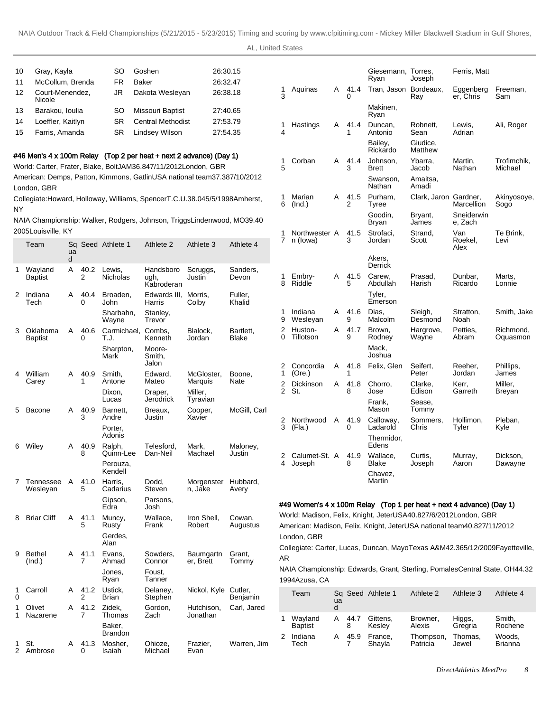| AL, United States |  |
|-------------------|--|
|-------------------|--|

| 10            | Gray, Kayla                         |         |           | SO                        | Goshen                                                                                                                                   |                                | 26:30.15                                                                       |                     |                                                                                                                                                  |        |              | Giesemann, Torres,<br>Ryan | Joseph                | Ferris, Matt           |                                                                                 |
|---------------|-------------------------------------|---------|-----------|---------------------------|------------------------------------------------------------------------------------------------------------------------------------------|--------------------------------|--------------------------------------------------------------------------------|---------------------|--------------------------------------------------------------------------------------------------------------------------------------------------|--------|--------------|----------------------------|-----------------------|------------------------|---------------------------------------------------------------------------------|
| 11<br>12      | McCollum, Brenda<br>Court-Menendez, |         |           | FR.<br>JR                 | Baker<br>Dakota Wesleyan                                                                                                                 | 26:32.47<br>26:38.18           |                                                                                | 1                   | Aguinas                                                                                                                                          | A      | 41.4         | Tran, Jason Bordeaux,      |                       | Eggenberg              | Freeman,                                                                        |
| 13            | Nicole<br>Barakou, Ioulia           |         |           | SO                        | Missouri Baptist                                                                                                                         | 27:40.65                       |                                                                                | 3                   |                                                                                                                                                  |        | $\mathbf{I}$ | Makinen,                   | Ray                   | er, Chris              | Sam                                                                             |
|               | Loeffler, Kaitlyn                   |         |           | SR                        | <b>Central Methodist</b>                                                                                                                 | 27:53.79                       |                                                                                |                     |                                                                                                                                                  |        |              | Ryan                       |                       |                        |                                                                                 |
| 14<br>15      | Farris, Amanda                      |         |           | SR                        | <b>Lindsey Wilson</b>                                                                                                                    | 27:54.35                       |                                                                                | 1<br>4              | Hastings                                                                                                                                         | Α      | 41.4         | Duncan,<br>Antonio         | Robnett,<br>Sean      | Lewis,<br>Adrian       | Ali, Roger                                                                      |
|               |                                     |         |           |                           |                                                                                                                                          |                                |                                                                                |                     |                                                                                                                                                  |        |              | Bailey,<br>Rickardo        | Giudice,<br>Matthew   |                        |                                                                                 |
|               |                                     |         |           |                           | #46 Men's 4 x 100m Relay (Top 2 per heat + next 2 advance) (Day 1)<br>World: Carter, Frater, Blake, Bolt JAM 36.84 7/11/2012 London, GBR |                                |                                                                                | 1                   | Corban                                                                                                                                           | Α      | 41.4         | Johnson,                   | Ybarra.               | Martin.                | Trofimchik,                                                                     |
|               |                                     |         |           |                           | American: Demps, Patton, Kimmons, Gatlin USA national team 37.38 7/10/2012                                                               |                                |                                                                                | 5                   |                                                                                                                                                  |        | 3            | <b>Brett</b><br>Swanson,   | Jacob<br>Amaitsa,     | Nathan                 | Michael                                                                         |
|               | London, GBR                         |         |           |                           |                                                                                                                                          |                                |                                                                                |                     |                                                                                                                                                  |        |              | Nathan                     | Amadi                 |                        |                                                                                 |
| ΝY            |                                     |         |           |                           |                                                                                                                                          |                                | Collegiate: Howard, Holloway, Williams, Spencer T.C.U. 38.04 5/5/1998 Amherst, | 1<br>6              | Marian<br>(Ind.)                                                                                                                                 | Α      | 41.5<br>2    | Purham,<br>Tyree           | Clark, Jaron Gardner, | Marcellion             | Akinyosoye,<br>Sogo                                                             |
|               |                                     |         |           |                           | NAIA Championship: Walker, Rodgers, Johnson, Triggs Lindenwood, MO 39.40                                                                 |                                |                                                                                |                     |                                                                                                                                                  |        |              | Goodin,<br>Bryan           | Bryant,<br>James      | Sneiderwin<br>e, Zach  |                                                                                 |
|               | 2005Louisville, KY<br>Team          | Sq      |           | Seed Athlete 1            | Athlete <sub>2</sub>                                                                                                                     | Athlete 3                      | Athlete 4                                                                      | $7^{\circ}$         | Northwester A<br>n (Iowa)                                                                                                                        |        | 41.5<br>3    | Strofaci,<br>Jordan        | Strand,<br>Scott      | Van<br>Roekel,<br>Alex | Te Brink,<br>Levi                                                               |
|               |                                     | ua<br>d |           |                           |                                                                                                                                          |                                |                                                                                |                     |                                                                                                                                                  |        |              | Akers,<br>Derrick          |                       |                        |                                                                                 |
| 1             | Wayland<br><b>Baptist</b>           | Α       | 40.2<br>2 | Lewis,<br><b>Nicholas</b> | Handsboro<br>ugh,<br>Kabroderan                                                                                                          | Scruggs,<br>Justin             | Sanders,<br>Devon                                                              | 1<br>8              | Embry-<br>Riddle                                                                                                                                 | Α      | 41.5<br>5    | Carew.<br>Abdullah         | Prasad,<br>Harish     | Dunbar,<br>Ricardo     | Marts,<br>Lonnie                                                                |
| 2             | Indiana<br>Tech                     | A       | 40.4<br>0 | Broaden,<br>John          | Edwards III,<br>Harris                                                                                                                   | Morris,<br>Colby               | Fuller,<br>Khalid                                                              |                     |                                                                                                                                                  |        |              | Tyler,<br>Emerson          |                       |                        |                                                                                 |
|               |                                     |         |           | Sharbahn,<br>Wayne        | Stanley,<br>Trevor                                                                                                                       |                                |                                                                                | 1<br>9              | Indiana<br>Wesleyan                                                                                                                              | Α      | 41.6<br>9    | Dias.<br>Malcolm           | Sleigh,<br>Desmond    | Stratton,<br>Noah      | Smith, Jake                                                                     |
| 3             | Oklahoma<br>Baptist                 | Α       | 40.6<br>0 | Carmichael,<br>T.J.       | Combs.<br>Kenneth                                                                                                                        | Blalock,<br>Jordan             | Bartlett,<br><b>Blake</b>                                                      | 2<br>0              | Huston-<br>Tillotson                                                                                                                             | A      | 41.7<br>9    | Brown,<br>Rodney           | Hargrove,<br>Wayne    | Petties,<br>Abram      | Richmond,<br>Oquasmon                                                           |
|               |                                     |         |           | Sharpton,<br>Mark         | Moore-<br>Smith,                                                                                                                         |                                |                                                                                |                     |                                                                                                                                                  |        |              | Mack,<br>Joshua            |                       |                        |                                                                                 |
| 4             | William                             | Α       | 40.9<br>1 | Smith,<br>Antone          | Jalon<br>Edward,<br>Mateo                                                                                                                | McGloster,                     | Boone,<br>Nate                                                                 | 2<br>1              | Concordia<br>(Ore.)                                                                                                                              | Α      | 41.8         | Felix, Glen                | Seifert,<br>Peter     | Reeher,<br>Jordan      | Phillips,<br>James                                                              |
|               | Carey                               |         |           | Dixon,<br>Lucas           | Draper,<br>Jerodrick                                                                                                                     | Marquis<br>Miller,<br>Tyravian |                                                                                | 2<br>$\overline{2}$ | Dickinson<br>St.                                                                                                                                 | Α      | 41.8<br>8    | Chorro,<br>Jose            | Clarke,<br>Edison     | Kerr,<br>Garreth       | Miller,<br>Breyan                                                               |
|               | 5 Bacone                            | A       | 40.9<br>3 | Barnett,<br>Andre         | Breaux,<br>Justin                                                                                                                        | Cooper,<br>Xavier              | McGill, Carl                                                                   |                     |                                                                                                                                                  |        |              | Frank,<br>Mason            | Sease.<br>Tommy       |                        |                                                                                 |
|               |                                     |         |           | Porter,<br>Adonis         |                                                                                                                                          |                                |                                                                                | 2<br>3              | Northwood<br>(Fla.)                                                                                                                              | Α      | 41.9<br>0    | Calloway,<br>Ladarold      | Sommers,<br>Chris     | Hollimon,<br>Tyler     | Pleban,<br>Kyle                                                                 |
| 6             | Wiley                               | A       | 40.9<br>8 | Ralph,<br>Quinn-Lee       | Telesford<br>Dan-Neil                                                                                                                    | Mark,<br>Machael               | Maloney,<br>Justin                                                             |                     |                                                                                                                                                  |        |              | Thermidor.<br>Edens        |                       |                        |                                                                                 |
|               |                                     |         |           | Perouza,<br>Kendell       |                                                                                                                                          |                                |                                                                                | 2<br>4              | Calumet-St. A 41.9<br>Joseph                                                                                                                     |        | ŏ            | Wallace.<br>ыаке           | Curtis.<br>Josepn     | Murray,<br>Aaron       | Dickson.<br>שe wayne                                                            |
|               | 7 Tennessee A<br>Wesleyan           |         | 41.0<br>5 | Harris,<br>Cadarius       | Dodd,<br>Steven                                                                                                                          | Morgenster Hubbard,<br>n, Jake | Avery                                                                          |                     |                                                                                                                                                  |        |              | Chavez,<br>Martin          |                       |                        |                                                                                 |
|               |                                     |         |           | Gipson,<br>Edra           | Parsons,<br>Josh                                                                                                                         |                                |                                                                                |                     | #49 Women's 4 x 100m Relay (Top 1 per heat + next 4 advance) (Day 1)                                                                             |        |              |                            |                       |                        |                                                                                 |
|               | 8 Briar Cliff                       | Α       | 41.1<br>5 | Muncy,<br>Rusty           | Wallace,<br>Frank                                                                                                                        | Iron Shell,<br>Robert          | Cowan,<br>Augustus                                                             |                     | World: Madison, Felix, Knight, Jeter USA 40.82 7/6/2012 London, GBR<br>American: Madison, Felix, Knight, Jeter USA national team 40.82 7/11/2012 |        |              |                            |                       |                        |                                                                                 |
|               |                                     |         |           | Gerdes,<br>Alan           |                                                                                                                                          |                                |                                                                                |                     | London, GBR                                                                                                                                      |        |              |                            |                       |                        |                                                                                 |
| 9             | Bethel<br>(Ind.)                    | A       | 41.1<br>7 | Evans,<br>Ahmad           | Sowders,<br>Connor                                                                                                                       | Baumgartn<br>er, Brett         | Grant,<br>Tommy                                                                | AR                  |                                                                                                                                                  |        |              |                            |                       |                        | Collegiate: Carter, Lucas, Duncan, Mayo Texas A&M 42.36 5/12/2009 Fayetteville, |
|               |                                     |         |           | Jones,<br>Ryan            | Foust,<br>Tanner                                                                                                                         |                                |                                                                                |                     | 1994Azusa, CA                                                                                                                                    |        |              |                            |                       |                        | NAIA Championship: Edwards, Grant, Sterling, Pomales Central State, OH 44.32    |
| 1<br>$\Omega$ | Carroll                             | A       | 41.2<br>2 | Ustick,<br>Brian          | Delaney,<br>Stephen                                                                                                                      | Nickol, Kyle Cutler,           | Benjamin                                                                       |                     | Team                                                                                                                                             | ua     |              | Sq Seed Athlete 1          | Athlete 2             | Athlete 3              | Athlete 4                                                                       |
| 1             | Olivet<br>Nazarene                  | A       | 41.2<br>7 | Zidek,<br>Thomas          | Gordon,<br>Zach                                                                                                                          | Hutchison,<br>Jonathan         | Carl, Jared                                                                    | 1                   | Wayland                                                                                                                                          | d<br>Α | 44.7         | Gittens,                   | Browner,              | Higgs,                 | Smith,                                                                          |
|               |                                     |         |           | Baker,<br><b>Brandon</b>  |                                                                                                                                          |                                |                                                                                | $\overline{2}$      | Baptist<br>Indiana                                                                                                                               | Α      | 8<br>45.9    | Kesley<br>France,          | Alexis<br>Thompson,   | Gregria<br>Thomas,     | Rochene<br>Woods,                                                               |
| 1             | St.<br>2 Ambrose                    | A       | 41.3<br>0 | Mosher,<br>Isaiah         | Ohioze,<br>Michael                                                                                                                       | Frazier,<br>Evan               | Warren, Jim                                                                    |                     | Tech                                                                                                                                             |        | 7            | Shayla                     | Patricia              | Jewel                  | <b>Brianna</b>                                                                  |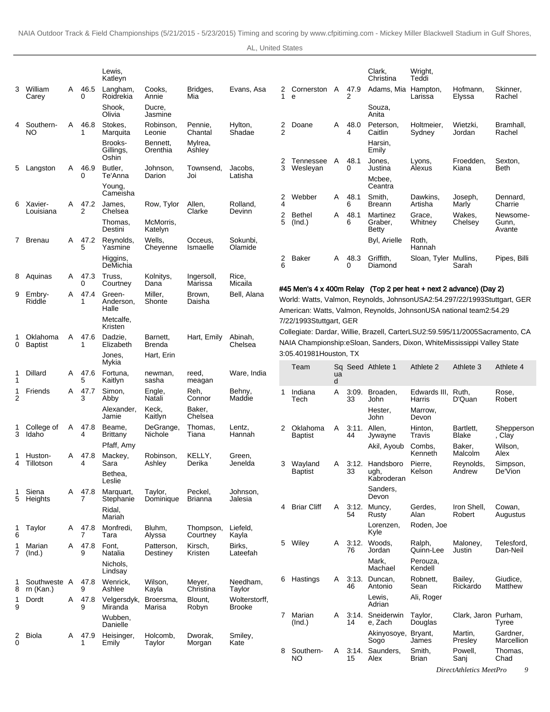|             |                           |   |             | Lewis,                        |                               |                       |                                |        |                                                                                                                                            |         |             | Clark,                          | Wright,                |                           |                                                                                  |
|-------------|---------------------------|---|-------------|-------------------------------|-------------------------------|-----------------------|--------------------------------|--------|--------------------------------------------------------------------------------------------------------------------------------------------|---------|-------------|---------------------------------|------------------------|---------------------------|----------------------------------------------------------------------------------|
| 3           | William                   | Α | 46.5        | Katleyn<br>Langham,           | Cooks.                        |                       |                                |        | Cornerston A                                                                                                                               |         | 47.9        | Christina                       | Teddi                  |                           |                                                                                  |
|             | Carey                     |   | 0           | Roidrekia                     | Annie                         | Bridges,<br>Mia       | Evans, Asa                     | 2<br>1 | e                                                                                                                                          |         | 2           | Adams, Mia Hampton,             | Larissa                | Hofmann,<br>Elyssa        | Skinner,<br>Rachel                                                               |
|             |                           |   |             | Shook,<br>Olivia              | Ducre,<br>Jasmine             |                       |                                |        |                                                                                                                                            |         |             | Souza,<br>Anita                 |                        |                           |                                                                                  |
|             | Southern-<br>ΝO           | A | 46.8<br>1   | Stokes.<br>Marquita           | Robinson,<br>Leonie           | Pennie,<br>Chantal    | Hylton,<br>Shadae              | 2<br>2 | Doane                                                                                                                                      | A       | 48.0<br>4   | Peterson,<br>Caitlin            | Holtmeier,<br>Sydney   | Wietzki,<br>Jordan        | Bramhall,<br>Rachel                                                              |
|             |                           |   |             | Brooks-<br>Gillings,<br>Oshin | Bennett,<br>Orenthia          | Mylrea,<br>Ashley     |                                | 2      | Tennessee                                                                                                                                  | A       | 48.1        | Harsin,<br>Emily<br>Jones,      |                        | Froedden,                 | Sexton,                                                                          |
|             | 5 Langston                | Α | 46.9<br>0   | Butler,<br>Te'Anna            | Johnson,<br>Darion            | Townsend,<br>Joi      | Jacobs,<br>Latisha             | 3      | Wesleyan                                                                                                                                   |         | 0           | Justina                         | Lyons,<br>Alexus       | Kiana                     | <b>Beth</b>                                                                      |
|             |                           |   |             | Young.                        |                               |                       |                                |        |                                                                                                                                            |         |             | Mcbee,<br>Ceantra               |                        |                           |                                                                                  |
|             | 6 Xavier-                 | A | 47.2        | Cameisha<br>James,            | Row, Tylor                    | Allen,                | Rolland,                       | 2<br>4 | Webber                                                                                                                                     | A       | 48.1<br>6   | Smith,<br><b>Breann</b>         | Dawkins,<br>Artisha    | Joseph,<br>Marly          | Dennard,<br>Charrie                                                              |
|             | Louisiana                 |   | 2           | Chelsea<br>Thomas.<br>Destini | McMorris,                     | Clarke                | Devinn                         | 2<br>5 | <b>Bethel</b><br>(Ind.)                                                                                                                    | A       | 48.1<br>6   | Martinez<br>Graber,             | Grace,<br>Whitney      | Wakes,<br>Chelsey         | Newsome-<br>Gunn,<br>Avante                                                      |
|             | 7 Brenau                  | A | 47.2<br>5   | Reynolds,<br>Yasmine          | Katelyn<br>Wells,<br>Cheyenne | Occeus.<br>Ismaelle   | Sokunbi,<br>Olamide            |        |                                                                                                                                            |         |             | Betty<br>Byl, Arielle           | Roth,<br>Hannah        |                           |                                                                                  |
|             |                           |   |             | Higgins,<br>DeMichia          |                               |                       |                                | 2<br>6 | Baker                                                                                                                                      | A       | 48.3<br>0   | Griffith,<br>Diamond            | Sloan, Tyler Mullins,  | Sarah                     | Pipes, Billi                                                                     |
| 8           | Aquinas                   | A | 47.3<br>0   | Truss,<br>Courtney            | Kolnitys,<br>Dana             | Ingersoll,<br>Marissa | Rice,<br>Micaila               |        |                                                                                                                                            |         |             |                                 |                        |                           |                                                                                  |
| 9           | Embry-<br>Riddle          | A | 47.4        | Green-<br>Anderson,<br>Halle  | Miller,<br>Shonte             | Brown,<br>Daisha      | Bell, Alana                    |        | #45 Men's 4 x 400m Relay (Top 2 per heat + next 2 advance) (Day 2)<br>American: Watts, Valmon, Reynolds, Johnson USA national team 2:54.29 |         |             |                                 |                        |                           | World: Watts, Valmon, Reynolds, Johnson USA 2:54.29 7/22/1993 Stuttgart, GER     |
|             |                           |   |             | Metcalfe,<br>Kristen          |                               |                       |                                |        | 7/22/1993 Stuttgart, GER                                                                                                                   |         |             |                                 |                        |                           |                                                                                  |
| 0           | Oklahoma<br>Baptist       | A | 47.6<br>1   | Dadzie.<br>Elizabeth          | Barnett,<br><b>Brenda</b>     | Hart, Emily           | Abinah,<br>Chelsea             |        | NAIA Championship: eSloan, Sanders, Dixon, White Mississippi Valley State                                                                  |         |             |                                 |                        |                           | Collegiate: Dardar, Willie, Brazell, Carter LSU 2:59.59 5/11/2005 Sacramento, CA |
|             |                           |   |             | Jones,<br>Mykia               | Hart, Erin                    |                       |                                |        | 3:05.40 1981 Houston, TX                                                                                                                   |         |             |                                 |                        |                           |                                                                                  |
|             | Dillard                   | Α | 47.6<br>5   | Fortuna,<br>Kaitlyn           | newman,<br>sasha              | reed,<br>meagan       | Ware, India                    |        | Team                                                                                                                                       | ua<br>d |             | Sq Seed Athlete 1               | Athlete 2              | Athlete 3                 | Athlete 4                                                                        |
| 2           | Friends                   | A | 47.7<br>3   | Simon,<br>Abby                | Engle,<br>Natali              | Reh,<br>Connor        | Behny,<br>Maddie               | 1      | Indiana<br>Tech                                                                                                                            | A       | 3:09.<br>33 | Broaden,<br>John                | Edwards III,<br>Harris | Ruth,<br>D'Quan           | Rose,<br>Robert                                                                  |
|             |                           |   |             | Alexander,<br>Jamie           | Keck,<br>Kaitlyn              | Baker,<br>Chelsea     |                                |        |                                                                                                                                            |         |             | Hester,<br>John                 | Marrow,<br>Devon       |                           |                                                                                  |
| 3           | College of<br>Idaho       | Α | 47.8<br>4   | Beame,<br><b>Brittany</b>     | DeGrange,<br>Nichole          | Thomas,<br>Tiana      | Lentz,<br>Hannah               |        | 2 Oklahoma<br>Baptist                                                                                                                      | A       | 44          | 3:11. Allen,<br>Jywayne         | Hinton,<br>Travis      | Bartlett,<br><b>Blake</b> | Shepperson<br>, Clay                                                             |
| 1.          | Huston-                   |   | A 47.8      | Pfaff, Amy<br>Mackey,         | Robinson,                     | KELLY,                | Green,                         |        |                                                                                                                                            |         |             | Akil, Ayoub                     | Combs.<br>Kenneth      | Baker,<br>Malcolm         | Wilson,<br>Alex                                                                  |
|             | <b>Tillotson</b>          |   |             | Sara<br>Bethea,               | Ashley                        | Derika                | Jenelda                        | 3      | Wayland<br><b>Baptist</b>                                                                                                                  | Α       | 3:12.<br>33 | Handsboro<br>ugh,<br>Kabroderan | Pierre,<br>Kelson      | Reynolds,<br>Andrew       | Simpson,<br>De'Vion                                                              |
|             | Siena                     |   | A 47.8      | Leslie<br>Marquart,           | Taylor,                       | Peckel,               | Johnson,                       |        |                                                                                                                                            |         |             | Sanders.<br>Devon               |                        |                           |                                                                                  |
| 5           | Heights                   |   | 7           | Stephanie<br>Ridal,<br>Mariah | Dominique                     | Brianna               | Jalesia                        | 4      | <b>Briar Cliff</b>                                                                                                                         | A       | 3:12.<br>54 | Muncy,<br>Rusty                 | Gerdes,<br>Alan        | Iron Shell,<br>Robert     | Cowan,<br>Augustus                                                               |
| 1<br>6      | Taylor                    | A | 47.8<br>7   | Monfredi,<br>Tara             | Bluhm,<br>Alyssa              | Thompson,<br>Courtney | Liefeld,<br>Kayla              |        |                                                                                                                                            |         |             | Lorenzen.<br>Kyle               | Roden, Joe             |                           |                                                                                  |
| $7^{\circ}$ | Marian<br>(Ind.)          |   | A 47.8<br>9 | Font,<br>Natalia              | Patterson,<br>Destiney        | Kirsch,<br>Kristen    | Birks,<br>Lateefah             | 5      | Wiley                                                                                                                                      | A       | 3:12.<br>76 | Woods,<br>Jordan                | Ralph,<br>Quinn-Lee    | Maloney,<br>Justin        | Telesford,<br>Dan-Neil                                                           |
|             |                           |   |             | Nichols,<br>Lindsay           |                               |                       |                                |        |                                                                                                                                            |         |             | Mark,<br>Machael                | Perouza,<br>Kendell    |                           |                                                                                  |
| 8           | Southweste A<br>rn (Kan.) |   | 47.8<br>9   | Wenrick,<br>Ashlee            | Wilson,<br>Kayla              | Meyer,<br>Christina   | Needham,<br>Taylor             |        | 6 Hastings                                                                                                                                 | A       | 46          | 3:13. Duncan,<br>Antonio        | Robnett,<br>Sean       | Bailey,<br>Rickardo       | Giudice,<br>Matthew                                                              |
| 1<br>9      | Dordt                     |   | A 47.8<br>9 | Velgersdyk,<br>Miranda        | Broersma,<br>Marisa           | Blount,<br>Robyn      | Wolterstorff,<br><b>Brooke</b> |        |                                                                                                                                            |         |             | Lewis,<br>Adrian                | Ali, Roger             |                           |                                                                                  |
|             |                           |   |             | Wubben,<br>Danielle           |                               |                       |                                |        | 7 Marian<br>(Ind.)                                                                                                                         | A       | 3:14.<br>14 | Sneiderwin<br>e, Zach           | Taylor,<br>Douglas     | Clark, Jaron Purham,      | Tyree                                                                            |
| 2<br>0      | Biola                     | A | 47.9        | Heisinger,<br>Emily           | Holcomb,<br>Taylor            | Dworak,<br>Morgan     | Smiley,<br>Kate                |        |                                                                                                                                            |         |             | Akinyosoye, Bryant,<br>Sogo     | James                  | Martin,<br>Presley        | Gardner,<br>Marcellion                                                           |
|             |                           |   |             |                               |                               |                       |                                | 8      | Southern-<br>NO                                                                                                                            | A       | 3:14.<br>15 | Saunders,<br>Alex               | Smith,<br><b>Brian</b> | Powell,<br>Sanj           | Thomas,<br>Chad                                                                  |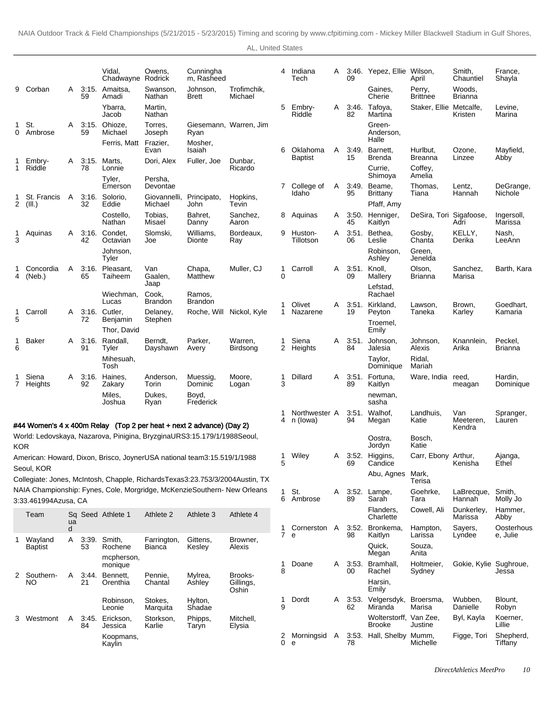|                |                       |        |             | Vidal,<br>Chadwayne Rodrick                                                                                                                         | Owens,                  | Cunningha<br>m, Rasheed  |                                                                                                                                                               | 4      | Indiana<br>Tech           | A | 09          | 3:46. Yepez, Ellie Wilson,              | April                        | Smith,<br>Chauntiel    | France,<br>Shayla         |
|----------------|-----------------------|--------|-------------|-----------------------------------------------------------------------------------------------------------------------------------------------------|-------------------------|--------------------------|---------------------------------------------------------------------------------------------------------------------------------------------------------------|--------|---------------------------|---|-------------|-----------------------------------------|------------------------------|------------------------|---------------------------|
| 9              | Corban                | A      | 59          | 3:15. Amaitsa,<br>Amadi                                                                                                                             | Swanson,<br>Nathan      | Johnson.<br><b>Brett</b> | Trofimchik,<br>Michael                                                                                                                                        |        |                           |   |             | Gaines,<br>Cherie                       | Perry,<br><b>Brittnee</b>    | Woods,<br>Brianna      |                           |
|                |                       |        |             | Ybarra,<br>Jacob                                                                                                                                    | Martin,<br>Nathan       |                          |                                                                                                                                                               | 5      | Embry-<br>Riddle          | A | 3:46.<br>82 | Tafoya,<br>Martina                      | Staker, Ellie Metcalfe,      | Kristen                | Levine.<br>Marina         |
| 1<br>0         | St.<br>Ambrose        | A      | 3:15.<br>59 | Ohioze.<br>Michael                                                                                                                                  | Torres,<br>Joseph       | Ryan                     | Giesemann, Warren, Jim                                                                                                                                        |        |                           |   |             | Green-<br>Anderson,<br>Halle            |                              |                        |                           |
|                |                       |        |             | Ferris, Matt Frazier,                                                                                                                               | Evan                    | Mosher,<br>Isaiah        |                                                                                                                                                               | 6      | Oklahoma                  | A | 3:49.       | Barnett,                                | Hurlbut,                     | Ozone,                 | Mayfield,                 |
|                | Embry-<br>1 Riddle    | A      | 3:15.<br>78 | Marts,<br>Lonnie                                                                                                                                    | Dori, Alex              | Fuller, Joe              | Dunbar,<br>Ricardo                                                                                                                                            |        | <b>Baptist</b>            |   | 15          | Brenda<br>Currie,                       | <b>Breanna</b><br>Coffey,    | Linzee                 | Abby                      |
|                |                       |        |             | Tyler,<br>Emerson                                                                                                                                   | Persha,<br>Devontae     |                          |                                                                                                                                                               | 7      | College of                | Α | 3:49.       | Shimoya<br>Beame.                       | Amelia<br>Thomas.            | Lentz,                 | DeGrange,                 |
| $\overline{2}$ | St. Francis<br>(III.) | A      | 3:16.<br>32 | Solorio,<br>Eddie                                                                                                                                   | Giovannelli,<br>Michael | Principato,<br>John      | Hopkins,<br>Tevin                                                                                                                                             |        | Idaho                     |   | 95          | <b>Brittany</b><br>Pfaff, Amy           | Tiana                        | Hannah                 | Nichole                   |
|                |                       |        |             | Costello.<br>Nathan                                                                                                                                 | Tobias,<br>Misael       | Bahret,<br>Danny         | Sanchez,<br>Aaron                                                                                                                                             | 8      | Aquinas                   | A | 45          | 3:50. Henniger,<br>Kaitlyn              | DeSira, Tori Sigafoose,      | Adri                   | Ingersoll,<br>Marissa     |
| 3              | Aquinas               | A      | 3:16.<br>42 | Condet,<br>Octavian                                                                                                                                 | Slomski.<br>Joe         | Williams,<br>Dionte      | Bordeaux,<br>Ray                                                                                                                                              | 9      | Huston-<br>Tillotson      | A | 3:51.<br>06 | Bethea,<br>Leslie                       | Gosby,<br>Chanta             | KELLY,<br>Derika       | Nash,<br>LeeAnn           |
|                |                       |        |             | Johnson,<br>Tyler                                                                                                                                   |                         |                          |                                                                                                                                                               |        |                           |   |             | Robinson,<br>Ashley                     | Green,<br>Jenelda            |                        |                           |
| 4              | Concordia<br>(Neb.)   | A      | 3:16.<br>65 | Pleasant,<br>Taiheem                                                                                                                                | Van<br>Gaalen,<br>Jaap  | Chapa,<br>Matthew        | Muller, CJ                                                                                                                                                    | 1<br>0 | Carroll                   | A | 09          | 3:51. Knoll,<br>Mallery                 | Olson,<br><b>Brianna</b>     | Sanchez,<br>Marisa     | Barth, Kara               |
|                |                       |        |             | Wiechman,<br>Lucas                                                                                                                                  | Cook,<br><b>Brandon</b> | Ramos,<br><b>Brandon</b> |                                                                                                                                                               |        |                           |   |             | Lefstad,<br>Rachael                     |                              |                        |                           |
| 1              | Carroll               | A      |             | 3:16. Cutler.                                                                                                                                       | Delaney,                |                          | Roche, Will Nickol, Kyle                                                                                                                                      | 1<br>1 | Olivet<br>Nazarene        | A | 3:51.<br>19 | Kirkland,<br>Peyton                     | Lawson,<br>Taneka            | Brown,<br>Karley       | Goedhart,<br>Kamaria      |
| 5              |                       |        | 72          | Benjamin<br>Thor, David                                                                                                                             | Stephen                 |                          |                                                                                                                                                               |        |                           |   |             | Troemel,<br>Emily                       |                              |                        |                           |
| 1<br>6         | Baker                 | A      | 3:16.<br>91 | Randall,<br>Tyler                                                                                                                                   | Berndt,<br>Dayshawn     | Parker,<br>Avery         | Warren,<br>Birdsong                                                                                                                                           | 1<br>2 | Siena<br>Heights          | A | 3:51.<br>84 | Johnson,<br>Jalesia                     | Johnson,<br>Alexis           | Knannlein,<br>Arika    | Peckel,<br><b>Brianna</b> |
|                |                       |        |             | Mihesuah,<br>Tosh                                                                                                                                   |                         |                          |                                                                                                                                                               |        |                           |   |             | Taylor,<br>Dominique                    | Ridal,<br>Mariah             |                        |                           |
|                | Siena<br>7 Heights    | A      | 3:16.<br>92 | Haines,<br>Zakary                                                                                                                                   | Anderson,<br>Torin      | Muessig,<br>Dominic      | Moore,<br>Logan                                                                                                                                               | 1<br>3 | Dillard                   | A | 89          | 3:51. Fortuna,<br>Kaitlyn               | Ware, India                  | reed.<br>meagan        | Hardin,<br>Dominique      |
|                |                       |        |             | Miles,<br>Joshua                                                                                                                                    | Dukes,<br>Ryan          | Boyd,<br>Frederick       |                                                                                                                                                               |        |                           |   |             | newman,<br>sasha                        |                              |                        |                           |
|                |                       |        |             |                                                                                                                                                     |                         |                          |                                                                                                                                                               | 1<br>4 | Northwester A<br>n (lowa) |   | 3:51.<br>94 | Walhof,<br>Megan                        | Landhuis,<br>Katie           | Van<br>Meeteren.       | Spranger,<br>Lauren       |
|                |                       |        |             | #44 Women's 4 x 400m Relay (Top 2 per heat + next 2 advance) (Day 2)<br>World: Ledovskaya, Nazarova, Pinigina, Bryzgina URS 3:15.17 9/1/1988 Seoul, |                         |                          |                                                                                                                                                               |        |                           |   |             | Oostra,                                 | Bosch,                       | Kendra                 |                           |
| <b>KOR</b>     |                       |        |             |                                                                                                                                                     |                         |                          |                                                                                                                                                               | 1      | Wiley                     | A |             | Jordyn<br>3:52. Higgins,                | Katie<br>Carr, Ebony Arthur, |                        | Ajanga,                   |
|                | Seoul, KOR            |        |             | American: Howard, Dixon, Brisco, Joyner USA national team 3:15.51 9/1/1988                                                                          |                         |                          |                                                                                                                                                               | 5      |                           |   | 69          | Candice                                 |                              | Kenisha                | Ethel                     |
|                |                       |        |             |                                                                                                                                                     |                         |                          | Collegiate: Jones, McIntosh, Chapple, Richards Texas 3:23.75 3/3/2004 Austin, TX<br>NAIA Championship: Fynes, Cole, Morgridge, McKenzie Southern- New Orleans |        |                           |   |             | Abu, Agnes Mark,                        | Terisa                       |                        |                           |
|                | 3:33.46 1994Azusa, CA |        |             |                                                                                                                                                     |                         |                          |                                                                                                                                                               | 1<br>6 | St.<br>Ambrose            | Α | 3:52.<br>89 | Lampe,<br>Sarah                         | Goehrke,<br>Tara             | LaBrecque,<br>Hannah   | Smith,<br>Molly Jo        |
|                | Team                  | ua     |             | Sq Seed Athlete 1                                                                                                                                   | Athlete 2               | Athlete 3                | Athlete 4                                                                                                                                                     |        |                           |   |             | Flanders,<br>Charlette                  | Cowell, Ali                  | Dunkerley,<br>Marissa  | Hammer,<br>Abby           |
| 1              | Wayland               | d<br>Α | 3:39.       | Smith,                                                                                                                                              | Farrington,             | Gittens,                 | Browner,                                                                                                                                                      | 1<br>7 | Cornerston A<br>e         |   | 98          | 3:52. Bronkema,<br>Kaitlyn              | Hampton,<br>Larissa          | Sayers,<br>Lyndee      | Oosterhous<br>e, Julie    |
|                | Baptist               |        | 53          | Rochene<br>mcpherson,                                                                                                                               | Bianca                  | Kesley                   | Alexis                                                                                                                                                        |        |                           |   |             | Quick,<br>Megan                         | Souza,<br>Anita              |                        |                           |
|                |                       |        |             | monique                                                                                                                                             |                         |                          |                                                                                                                                                               | 1<br>8 | Doane                     | Α | 3:53.<br>00 | Bramhall,<br>Rachel                     | Holtmeier,<br>Sydney         | Gokie, Kylie Sughroue, | Jessa                     |
|                | 2 Southern-<br>NO     | Α      | 3:44.<br>21 | Bennett,<br>Orenthia                                                                                                                                | Pennie,<br>Chantal      | Mylrea,<br>Ashley        | Brooks-<br>Gillings,<br>Oshin                                                                                                                                 |        |                           |   |             | Harsin,<br>Emily                        |                              |                        |                           |
|                |                       |        |             | Robinson,<br>Leonie                                                                                                                                 | Stokes,<br>Marquita     | Hylton,<br>Shadae        |                                                                                                                                                               | 1<br>9 | Dordt                     | A | 3:53.<br>62 | Velgersdyk,<br>Miranda                  | Broersma,<br>Marisa          | Wubben,<br>Danielle    | Blount,<br>Robyn          |
|                | 3 Westmont            | A      | 84          | 3:45. Erickson,<br>Jessica                                                                                                                          | Storkson,<br>Karlie     | Phipps,<br>Taryn         | Mitchell,<br>Elysia                                                                                                                                           |        |                           |   |             | Wolterstorff, Van Zee,<br><b>Brooke</b> | Justine                      | Byl, Kayla             | Koerner,<br>Lillie        |
|                |                       |        |             | Koopmans,<br>Kaylin                                                                                                                                 |                         |                          |                                                                                                                                                               | 2<br>0 | Morningsid<br>e           | A | 78          | 3:53. Hall, Shelby Mumm,                | Michelle                     | Figge, Tori            | Shepherd,<br>Tiffany      |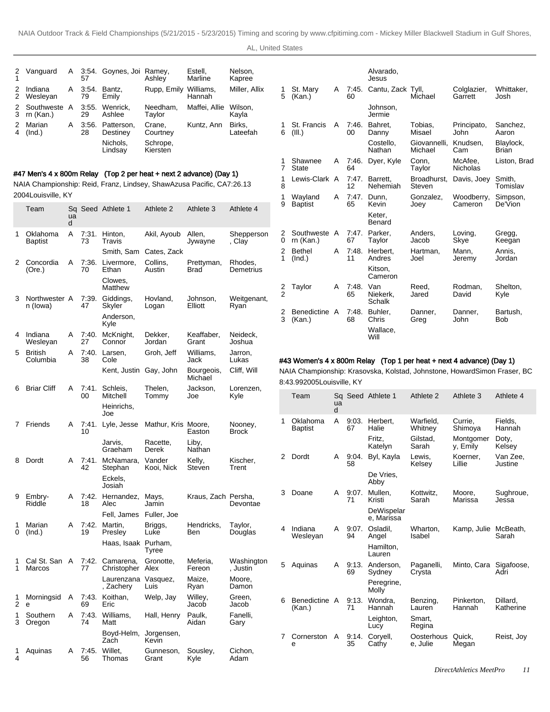|        | 2 Vanguard              | A | 57          | 3:54. Goynes, Joi Ramey, | Ashlev               | Estell.<br>Marline  | Nelson.<br>Kapree  |
|--------|-------------------------|---|-------------|--------------------------|----------------------|---------------------|--------------------|
| 2<br>2 | Indiana<br>Wesleyan     | A | 3:54.<br>79 | Bantz.<br>Emilv          | Rupp, Emily          | Williams.<br>Hannah | Miller, Allix      |
| 3      | Southweste<br>rn (Kan.) | A | 3:55.<br>29 | Wenrick.<br>Ashlee       | Needham,<br>Taylor   | Maffei, Allie       | Wilson.<br>Kayla   |
| 2<br>4 | Marian<br>(Ind.)        | A | 3:56.<br>28 | Patterson.<br>Destiney   | Crane.<br>Courtney   | Kuntz, Ann          | Birks.<br>Lateefah |
|        |                         |   |             | Nichols,<br>Lindsav      | Schrope,<br>Kiersten |                     |                    |
|        |                         |   |             |                          |                      |                     |                    |

## #47 Men's 4 x 800m Relay (Top 2 per heat + next 2 advance) (Day 1)

NAIA Championship: Reid, Franz, Lindsey, Shaw Azusa Pacific, CA 7:26.13 2004Louisville, KY

|        | Team                       | ua<br>d |             | Sq Seed Athlete 1              | Athlete 2            | Athlete 3             | Athlete 4              |
|--------|----------------------------|---------|-------------|--------------------------------|----------------------|-----------------------|------------------------|
| 1      | Oklahoma<br><b>Baptist</b> | A       | 7:31.<br>73 | Hinton,<br>Travis              | Akil, Ayoub          | Allen,<br>Jywayne     | Shepperson<br>, Clay   |
|        |                            |         |             | Smith, Sam                     | Cates, Zack          |                       |                        |
| 2      | Concordia<br>(Ore.)        | A       | 7:36.<br>70 | Livermore,<br>Ethan<br>Clowes, | Collins,<br>Austin   | Prettyman,<br>Brad    | Rhodes,<br>Demetrius   |
|        |                            |         |             | Matthew                        |                      |                       |                        |
| 3      | Northwester A<br>n (lowa)  |         | 7:39.<br>47 | Giddings,<br>Skyler            | Hovland,<br>Logan    | Johnson,<br>Elliott   | Weitgenant,<br>Ryan    |
|        |                            |         |             | Anderson,<br>Kyle              |                      |                       |                        |
| 4      | Indiana<br>Wesleyan        | Α       | 7:40.<br>27 | McKnight,<br>Connor            | Dekker,<br>Jordan    | Keaffaber,<br>Grant   | Neideck,<br>Joshua     |
| 5      | <b>British</b><br>Columbia | A       | 7:40.<br>38 | Larsen,<br>Cole                | Groh, Jeff           | Williams,<br>Jack     | Jarron,<br>Lukas       |
|        |                            |         |             | Kent, Justin                   | Gay, John            | Bourgeois,<br>Michael | Cliff, Will            |
| 6      | <b>Briar Cliff</b>         | Α       | 7:41.<br>00 | Schleis,<br>Mitchell           | Thelen,<br>Tommy     | Jackson,<br>Joe       | Lorenzen,<br>Kyle      |
|        |                            |         |             | Heinrichs,<br>Joe              |                      |                       |                        |
| 7      | Friends                    | Α       | 7:41.<br>10 | Lyle, Jesse                    | Mathur, Kris Moore,  | Easton                | Nooney,<br>Brock       |
|        |                            |         |             | Jarvis,<br>Graeham             | Racette,<br>Derek    | Liby,<br>Nathan       |                        |
| 8      | Dordt                      | А       | 7:41.<br>42 | McNamara,<br>Stephan           | Vander<br>Kooi, Nick | Kelly,<br>Steven      | Kischer,<br>Trent      |
|        |                            |         |             | Eckels,<br>Josiah              |                      |                       |                        |
| 9      | Embry-<br>Riddle           | Α       | 7:42.<br>18 | Hernandez,<br>Alec             | Mays,<br>Jamin       | Kraus, Zach Persha,   | Devontae               |
|        |                            |         |             | Fell, James                    | Fuller, Joe          |                       |                        |
| 1<br>0 | Marian<br>(Ind.)           | A       | 7:42.<br>19 | Martin,<br>Presley             | Briggs,<br>Luke      | Hendricks,<br>Ben     | Taylor,<br>Douglas     |
|        |                            |         |             | Haas, Isaak                    | Purham,<br>Tyree     |                       |                        |
| 1<br>1 | Cal St. San<br>Marcos      | A       | 7:42.<br>77 | Camarena,<br>Christopher       | Gronotte,<br>Alex    | Meferia,<br>Fereon    | Washington<br>, Justin |
|        |                            |         |             | Laurenzana<br>, Zachery        | Vasquez,<br>Luis     | Maize,<br>Ryan        | Moore,<br>Damon        |
| 1<br>2 | Morningsid<br>e            | Α       | 7:43.<br>69 | Koithan,<br>Eric               | Welp, Jay            | Willey,<br>Jacob      | Green,<br>Jacob        |
| 1<br>3 | Southern<br>Oregon         | Α       | 7:43.<br>74 | Williams,<br>Matt              | Hall, Henry          | Paulk,<br>Aidan       | Fanelli,<br>Gary       |
|        |                            |         |             | Boyd-Helm,<br>Zach             | Jorgensen,<br>Kevin  |                       |                        |
| 1<br>4 | Aquinas                    | A       | 7:45.<br>56 | Willet.<br>Thomas              | Gunneson,<br>Grant   | Sousley,<br>Kyle      | Cichon,<br>Adam        |

|               |                           |   |             | Alvarado,<br>Jesus        |                         |                            |                           |
|---------------|---------------------------|---|-------------|---------------------------|-------------------------|----------------------------|---------------------------|
| 1<br>5        | St. Mary<br>(Kan.)        | A | 7:45.<br>60 | Cantu, Zack Tyll,         | Michael                 | Colglazier,<br>Garrett     | Whittaker.<br>Josh.       |
|               |                           |   |             | Johnson.<br>Jermie        |                         |                            |                           |
| 1<br>6        | St. Francis<br>(III.)     | A | 7:46.<br>00 | Bahret.<br>Danny          | Tobias,<br>Misael       | Principato,<br>John        | Sanchez,<br>Aaron         |
|               |                           |   |             | Costello.<br>Nathan       | Giovannelli,<br>Michael | Knudsen.<br>Cam            | Blaylock,<br><b>Brian</b> |
| 1<br>7        | Shawnee<br><b>State</b>   | A | 7:46.<br>64 | Dyer, Kyle                | Conn,<br>Taylor         | McAfee.<br><b>Nicholas</b> | Liston, Brad              |
| 1<br>8        | Lewis-Clark A             |   | 7.47.<br>12 | Barrett.<br>Nehemiah      | Broadhurst,<br>Steven   | Davis, Joey                | Smith.<br>Tomislav        |
| 1<br>9        | Wayland<br><b>Baptist</b> | A | 7:47.<br>65 | Dunn.<br>Kevin            | Gonzalez.<br>Joev       | Woodberry,<br>Cameron      | Simpson,<br>De'Vion       |
|               |                           |   |             | Keter.<br><b>Benard</b>   |                         |                            |                           |
| 2<br>0        | Southweste A<br>rn (Kan.) |   | 7:47.<br>67 | Parker,<br>Taylor         | Anders.<br>Jacob        | Loving,<br>Skye            | Gregg,<br>Keegan          |
| 2<br>1        | <b>Bethel</b><br>(Ind.)   | A | 7:48.<br>11 | Herbert.<br>Andres        | Hartman.<br>Joel        | Mann.<br>Jeremy            | Annis.<br>Jordan          |
|               |                           |   |             | Kitson.<br>Cameron        |                         |                            |                           |
| $\frac{2}{2}$ | Taylor                    | A | 7:48.<br>65 | Van<br>Niekerk.<br>Schalk | Reed.<br>Jared          | Rodman,<br>David           | Shelton,<br>Kvle          |
| 2<br>3        | Benedictine A<br>(Kan.)   |   | 7:48.<br>68 | Buhler.<br>Chris          | Danner.<br>Greg         | Danner,<br>John            | Bartush,<br>Bob           |
|               |                           |   |             | Wallace,<br>Will          |                         |                            |                           |

## #43 Women's 4 x 800m Relay (Top 1 per heat + next 4 advance) (Day 1)

NAIA Championship: Krasovska, Kolstad, Johnstone, Howard Simon Fraser, BC 8:43.99 2005Louisville, KY

|   | Team                       | ua<br>d |             | Sq Seed Athlete 1        | Athlete 2              | Athlete 3              | Athlete 4             |
|---|----------------------------|---------|-------------|--------------------------|------------------------|------------------------|-----------------------|
| 1 | Oklahoma<br><b>Baptist</b> | A       | 9:03.<br>67 | Herbert.<br>Halie        | Warfield.<br>Whitnev   | Currie.<br>Shimoya     | Fields,<br>Hannah     |
|   |                            |         |             | Fritz.<br>Katelyn        | Gilstad,<br>Sarah      | Montgomer<br>v. Emily  | Doty,<br>Kelsey       |
| 2 | Dordt                      | A       | 9:04.<br>58 | Byl, Kayla               | Lewis.<br>Kelsey       | Koerner.<br>Lillie     | Van Zee.<br>Justine   |
|   |                            |         |             | De Vries,<br>Abby        |                        |                        |                       |
| 3 | Doane                      | A       | 9:07.<br>71 | Mullen.<br>Kristi        | Kottwitz.<br>Sarah     | Moore,<br>Marissa      | Sughroue,<br>Jessa    |
|   |                            |         |             | DeWispelar<br>e, Marissa |                        |                        |                       |
| 4 | Indiana<br>Weslevan        | A       | 9:07.<br>94 | Osladil.<br>Angel        | Wharton,<br>Isabel     | Kamp, Julie McBeath,   | Sarah                 |
|   |                            |         |             | Hamilton.<br>Lauren      |                        |                        |                       |
| 5 | Aquinas                    | A       | 9:13.<br>69 | Anderson,<br>Sydney      | Paganelli,<br>Crysta   | Minto, Cara Sigafoose, | Adri                  |
|   |                            |         |             | Peregrine,<br>Molly      |                        |                        |                       |
| 6 | Benedictine A<br>(Kan.)    |         | 9:13.<br>71 | Wondra,<br>Hannah        | Benzing,<br>Lauren     | Pinkerton.<br>Hannah   | Dillard.<br>Katherine |
|   |                            |         |             | Leighton,<br>Lucy        | Smart.<br>Regina       |                        |                       |
| 7 | Cornerston<br>e            | A       | 9:14.<br>35 | Corvell,<br>Cathy        | Oosterhous<br>e, Julie | Quick,<br>Megan        | Reist, Joy            |
|   |                            |         |             |                          |                        |                        |                       |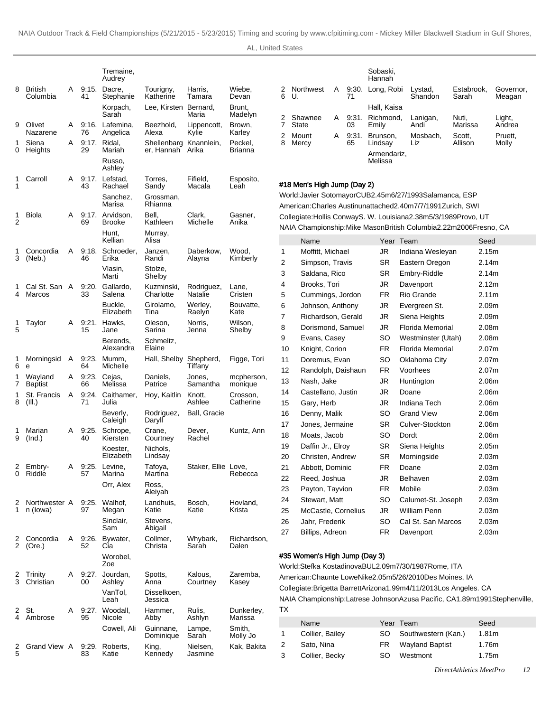|        |                            |   |             | Tremaine,<br>Audrey        |                           |                       |                           |
|--------|----------------------------|---|-------------|----------------------------|---------------------------|-----------------------|---------------------------|
| 8      | <b>British</b><br>Columbia | A | 9:15.<br>41 | Dacre,<br>Stephanie        | Tourigny,<br>Katherine    | Harris,<br>Tamara     | Wiebe,<br>Devan           |
|        |                            |   |             | Korpach,<br>Sarah          | Lee, Kirsten Bernard,     | Maria                 | Brunt,<br>Madelyn         |
| 9      | Olivet<br>Nazarene         | A | 9:16.<br>76 | Lafemina.<br>Angelica      | Beezhold,<br>Alexa        | Lippencott,<br>Kylie  | Brown,<br>Karley          |
| 1<br>0 | Siena<br>Heights           | A | 9:17.<br>29 | Ridal.<br>Mariah           | Shellenbarg<br>er, Hannah | Knannlein,<br>Arika   | Peckel.<br><b>Brianna</b> |
|        |                            |   |             | Russo.<br>Ashley           |                           |                       |                           |
| 1<br>1 | Carroll                    | A | 9:17.<br>43 | Lefstad.<br>Rachael        | Torres,<br>Sandy          | Fifield,<br>Macala    | Esposito,<br>Leah         |
|        |                            |   |             | Sanchez,<br>Marisa         | Grossman,<br>Rhianna      |                       |                           |
| 1<br>2 | <b>Biola</b>               | A | 9:17.<br>69 | Arvidson.<br><b>Brooke</b> | Bell,<br>Kathleen         | Clark,<br>Michelle    | Gasner,<br>Anika          |
|        |                            |   |             | Hunt.<br>Kellian           | Murray,<br>Alisa          |                       |                           |
| 1<br>3 | Concordia<br>(Neb.)        | A | 9:18.<br>46 | Schroeder.<br>Erika        | Janzen,<br>Randi          | Daberkow.<br>Alayna   | Wood,<br>Kimberly         |
|        |                            |   |             | Vlasin,<br>Marti           | Stolze,<br>Shelby         |                       |                           |
| 1<br>4 | Cal St. San<br>Marcos      | A | 9:20.<br>33 | Gallardo,<br>Salena        | Kuzminski,<br>Charlotte   | Rodriguez,<br>Natalie | Lane,<br>Cristen          |
|        |                            |   |             | Buckle,<br>Elizabeth       | Girolamo.<br>Tina         | Werley,<br>Raelyn     | Bouvatte,<br>Kate         |
| 1<br>5 | Taylor                     | A | 9:21.<br>15 | Hawks,<br>Jane             | Oleson,<br>Sarina         | Norris,<br>Jenna      | Wilson,<br>Shelby         |
|        |                            |   |             | Berends.<br>Alexandra      | Schmeltz,<br>Elaine       |                       |                           |
| 1<br>6 | Morningsid<br>е            | A | 9:23.<br>64 | Mumm.<br>Michelle          | Hall, Shelby              | Shepherd,<br>Tiffany  | Figge, Tori               |
| 1<br>7 | Wayland<br><b>Baptist</b>  | Α | 9:23.<br>66 | Cejas,<br>Melissa          | Daniels,<br>Patrice       | Jones.<br>Samantha    | mcpherson,<br>monique     |
| 1<br>8 | St. Francis<br>(III.)      | A | 9:24.<br>71 | Caithamer,<br>Julia        | Hoy, Kaitlin              | Knott,<br>Ashlee      | Crosson,<br>Catherine     |
|        |                            |   |             | Beverly,<br>Caleigh        | Rodriguez,<br>Daryll      | Ball, Gracie          |                           |
| 1<br>9 | Marian<br>(Ind.)           | A | 9:25.<br>40 | Schrope,<br>Kiersten       | Crane,<br>Courtney        | Dever,<br>Rachel      | Kuntz, Ann                |
|        |                            |   |             | Koester.<br>Elizabeth      | Nichols,<br>Lindsay       |                       |                           |
| 2<br>0 | Embry-<br>Riddle           | A | 9:25.<br>57 | Levine,<br>Marina          | Tafoya,<br>Martina        | Staker, Ellie Love,   | Rebecca                   |
|        |                            |   |             | Orr, Alex                  | Ross,<br>Aleiyah          |                       |                           |
| 2<br>1 | Northwester A<br>n (lowa)  |   | 9:25.<br>97 | Walhof.<br>Megan           | Landhuis,<br>Katie        | Bosch.<br>Katie       | Hovland,<br>Krista        |
|        |                            |   |             | Sinclair,<br>Sam           | Stevens.<br>Abigail       |                       |                           |
| 2<br>2 | Concordia<br>(Ore.)        | A | 9:26.<br>52 | Bywater,<br>Cia            | Collmer,<br>Christa       | Whybark,<br>Sarah     | Richardson,<br>Dalen      |
|        |                            |   |             | Worobel,<br>Zoe            |                           |                       |                           |
| 2<br>3 | Trinity<br>Christian       | A | 9:27.<br>00 | Jourdan,<br>Ashley         | Spotts,<br>Anna           | Kalous,<br>Courtney   | Zaremba,<br>Kasey         |
|        |                            |   |             | VanTol,<br>Leah            | Disselkoen,<br>Jessica    |                       |                           |
| 2<br>4 | St.<br>Ambrose             | Α | 9:27.<br>95 | Woodall,<br>Nicole         | Hammer,<br>Abby           | Rulis,<br>Ashlyn      | Dunkerley,<br>Marissa     |
|        |                            |   |             | Cowell, Ali                | Guinnane,<br>Dominique    | Lampe,<br>Sarah       | Smith,<br>Molly Jo        |
| 2<br>5 | Grand View A               |   | 9:29.<br>83 | Roberts,<br>Katie          | King,<br>Kennedy          | Nielsen,<br>Jasmine   | Kak, Bakita               |

|                   |                     |   |             | Sobaski,<br>Hannah       |                    |                     |                     |
|-------------------|---------------------|---|-------------|--------------------------|--------------------|---------------------|---------------------|
|                   | 2 Northwest<br>6 U. | A | 71          | 9:30. Long, Robi         | Lystad,<br>Shandon | Estabrook.<br>Sarah | Governor,<br>Meagan |
|                   |                     |   |             | Hall, Kaisa              |                    |                     |                     |
| 2<br>7            | Shawnee<br>State    | A | 03          | 9:31. Richmond.<br>Emily | Lanigan,<br>Andi   | Nuti,<br>Marissa    | Light,<br>Andrea    |
| $\mathbf{2}$<br>8 | Mount<br>Mercy      | A | 9:31.<br>65 | Brunson,<br>Lindsay      | Mosbach.<br>Liz    | Scott,<br>Allison   | Pruett,<br>Molly    |
|                   |                     |   |             | Armendariz,<br>Melissa   |                    |                     |                     |

#### #18 Men's High Jump (Day 2)

World: Javier Sotomayor CUB 2.45m 6/27/1993 Salamanca, ESP American: Charles Austin unattached 2.40m 7/7/1991 Zurich, SWI Collegiate: Hollis Conway S. W. Louisiana 2.38m 5/3/1989 Provo, UT NAIA Championship: Mike Mason British Columbia 2.22m 2006Fresno, CA

| Moffitt, Michael<br><b>JR</b><br>2.15m<br>Indiana Wesleyan<br>1<br>2<br>Simpson, Travis<br>SR.<br>Eastern Oregon<br>2.14m<br>3<br><b>SR</b><br>Saldana, Rico<br>Embry-Riddle<br>2.14m<br>JR.<br>4<br>Brooks, Tori<br>Davenport<br>2.12m<br>5<br>Rio Grande<br>Cummings, Jordon<br>FR.<br>2.11m<br>JR<br>6<br>Johnson, Anthony<br>Evergreen St.<br>2.09m<br>7<br>JR.<br>Richardson, Gerald<br>Siena Heights<br>2.09m<br><b>Florida Memorial</b><br>8<br>Dorismond, Samuel<br>JR<br>2.08m<br>SO.<br>9<br>Evans, Casey<br>Westminster (Utah)<br>2.08m<br>10<br>Florida Memorial<br>Knight, Corion<br>FR.<br>2.07 <sub>m</sub><br>11<br>SO.<br>Doremus, Evan<br>2.07 <sub>m</sub><br>Oklahoma City<br>Voorhees<br>12<br>Randolph, Daishaun<br>FR.<br>2.07 <sub>m</sub><br>13<br>JR<br>Nash, Jake<br>Huntington<br>2.06m<br>JR.<br>2.06m<br>14<br>Castellano, Justin<br>Doane<br>15<br>Gary, Herb<br>JR<br>Indiana Tech<br>2.06m<br>16<br>Denny, Malik<br>SO.<br><b>Grand View</b><br>2.06m<br>17<br><b>SR</b><br>Culver-Stockton<br>2.06m<br>Jones, Jermaine<br>18<br>Moats, Jacob<br>SO<br>Dordt<br>2.06m<br>19<br>Daffin Jr., Elroy<br>SR.<br>Siena Heights<br>2.05 <sub>m</sub><br>SR.<br>Morningside<br>20<br>Christen, Andrew<br>2.03 <sub>m</sub><br>21<br>Abbott, Dominic<br>FR.<br>2.03 <sub>m</sub><br>Doane<br>22<br>Reed, Joshua<br>JR<br>Belhaven<br>2.03 <sub>m</sub><br>23<br>Payton, Tayvion<br>Mobile<br>FR.<br>2.03 <sub>m</sub> |    | Name          |     | Year Team          | Seed  |
|-----------------------------------------------------------------------------------------------------------------------------------------------------------------------------------------------------------------------------------------------------------------------------------------------------------------------------------------------------------------------------------------------------------------------------------------------------------------------------------------------------------------------------------------------------------------------------------------------------------------------------------------------------------------------------------------------------------------------------------------------------------------------------------------------------------------------------------------------------------------------------------------------------------------------------------------------------------------------------------------------------------------------------------------------------------------------------------------------------------------------------------------------------------------------------------------------------------------------------------------------------------------------------------------------------------------------------------------------------------------------------------------------------------------------------------------------|----|---------------|-----|--------------------|-------|
|                                                                                                                                                                                                                                                                                                                                                                                                                                                                                                                                                                                                                                                                                                                                                                                                                                                                                                                                                                                                                                                                                                                                                                                                                                                                                                                                                                                                                                               |    |               |     |                    |       |
|                                                                                                                                                                                                                                                                                                                                                                                                                                                                                                                                                                                                                                                                                                                                                                                                                                                                                                                                                                                                                                                                                                                                                                                                                                                                                                                                                                                                                                               |    |               |     |                    |       |
|                                                                                                                                                                                                                                                                                                                                                                                                                                                                                                                                                                                                                                                                                                                                                                                                                                                                                                                                                                                                                                                                                                                                                                                                                                                                                                                                                                                                                                               |    |               |     |                    |       |
|                                                                                                                                                                                                                                                                                                                                                                                                                                                                                                                                                                                                                                                                                                                                                                                                                                                                                                                                                                                                                                                                                                                                                                                                                                                                                                                                                                                                                                               |    |               |     |                    |       |
|                                                                                                                                                                                                                                                                                                                                                                                                                                                                                                                                                                                                                                                                                                                                                                                                                                                                                                                                                                                                                                                                                                                                                                                                                                                                                                                                                                                                                                               |    |               |     |                    |       |
|                                                                                                                                                                                                                                                                                                                                                                                                                                                                                                                                                                                                                                                                                                                                                                                                                                                                                                                                                                                                                                                                                                                                                                                                                                                                                                                                                                                                                                               |    |               |     |                    |       |
|                                                                                                                                                                                                                                                                                                                                                                                                                                                                                                                                                                                                                                                                                                                                                                                                                                                                                                                                                                                                                                                                                                                                                                                                                                                                                                                                                                                                                                               |    |               |     |                    |       |
|                                                                                                                                                                                                                                                                                                                                                                                                                                                                                                                                                                                                                                                                                                                                                                                                                                                                                                                                                                                                                                                                                                                                                                                                                                                                                                                                                                                                                                               |    |               |     |                    |       |
|                                                                                                                                                                                                                                                                                                                                                                                                                                                                                                                                                                                                                                                                                                                                                                                                                                                                                                                                                                                                                                                                                                                                                                                                                                                                                                                                                                                                                                               |    |               |     |                    |       |
|                                                                                                                                                                                                                                                                                                                                                                                                                                                                                                                                                                                                                                                                                                                                                                                                                                                                                                                                                                                                                                                                                                                                                                                                                                                                                                                                                                                                                                               |    |               |     |                    |       |
|                                                                                                                                                                                                                                                                                                                                                                                                                                                                                                                                                                                                                                                                                                                                                                                                                                                                                                                                                                                                                                                                                                                                                                                                                                                                                                                                                                                                                                               |    |               |     |                    |       |
|                                                                                                                                                                                                                                                                                                                                                                                                                                                                                                                                                                                                                                                                                                                                                                                                                                                                                                                                                                                                                                                                                                                                                                                                                                                                                                                                                                                                                                               |    |               |     |                    |       |
|                                                                                                                                                                                                                                                                                                                                                                                                                                                                                                                                                                                                                                                                                                                                                                                                                                                                                                                                                                                                                                                                                                                                                                                                                                                                                                                                                                                                                                               |    |               |     |                    |       |
|                                                                                                                                                                                                                                                                                                                                                                                                                                                                                                                                                                                                                                                                                                                                                                                                                                                                                                                                                                                                                                                                                                                                                                                                                                                                                                                                                                                                                                               |    |               |     |                    |       |
|                                                                                                                                                                                                                                                                                                                                                                                                                                                                                                                                                                                                                                                                                                                                                                                                                                                                                                                                                                                                                                                                                                                                                                                                                                                                                                                                                                                                                                               |    |               |     |                    |       |
|                                                                                                                                                                                                                                                                                                                                                                                                                                                                                                                                                                                                                                                                                                                                                                                                                                                                                                                                                                                                                                                                                                                                                                                                                                                                                                                                                                                                                                               |    |               |     |                    |       |
|                                                                                                                                                                                                                                                                                                                                                                                                                                                                                                                                                                                                                                                                                                                                                                                                                                                                                                                                                                                                                                                                                                                                                                                                                                                                                                                                                                                                                                               |    |               |     |                    |       |
|                                                                                                                                                                                                                                                                                                                                                                                                                                                                                                                                                                                                                                                                                                                                                                                                                                                                                                                                                                                                                                                                                                                                                                                                                                                                                                                                                                                                                                               |    |               |     |                    |       |
|                                                                                                                                                                                                                                                                                                                                                                                                                                                                                                                                                                                                                                                                                                                                                                                                                                                                                                                                                                                                                                                                                                                                                                                                                                                                                                                                                                                                                                               |    |               |     |                    |       |
|                                                                                                                                                                                                                                                                                                                                                                                                                                                                                                                                                                                                                                                                                                                                                                                                                                                                                                                                                                                                                                                                                                                                                                                                                                                                                                                                                                                                                                               |    |               |     |                    |       |
|                                                                                                                                                                                                                                                                                                                                                                                                                                                                                                                                                                                                                                                                                                                                                                                                                                                                                                                                                                                                                                                                                                                                                                                                                                                                                                                                                                                                                                               |    |               |     |                    |       |
|                                                                                                                                                                                                                                                                                                                                                                                                                                                                                                                                                                                                                                                                                                                                                                                                                                                                                                                                                                                                                                                                                                                                                                                                                                                                                                                                                                                                                                               |    |               |     |                    |       |
|                                                                                                                                                                                                                                                                                                                                                                                                                                                                                                                                                                                                                                                                                                                                                                                                                                                                                                                                                                                                                                                                                                                                                                                                                                                                                                                                                                                                                                               |    |               |     |                    |       |
|                                                                                                                                                                                                                                                                                                                                                                                                                                                                                                                                                                                                                                                                                                                                                                                                                                                                                                                                                                                                                                                                                                                                                                                                                                                                                                                                                                                                                                               | 24 | Stewart, Matt | SO. | Calumet-St. Joseph | 2.03m |
| 25<br>McCastle, Cornelius<br>JR<br>William Penn<br>2.03 <sub>m</sub>                                                                                                                                                                                                                                                                                                                                                                                                                                                                                                                                                                                                                                                                                                                                                                                                                                                                                                                                                                                                                                                                                                                                                                                                                                                                                                                                                                          |    |               |     |                    |       |
| 26<br>Jahr, Frederik<br>SO<br>Cal St. San Marcos<br>2.03 <sub>m</sub>                                                                                                                                                                                                                                                                                                                                                                                                                                                                                                                                                                                                                                                                                                                                                                                                                                                                                                                                                                                                                                                                                                                                                                                                                                                                                                                                                                         |    |               |     |                    |       |
| <b>FR</b><br>27<br>Billips, Adreon<br>2.03 <sub>m</sub><br>Davenport                                                                                                                                                                                                                                                                                                                                                                                                                                                                                                                                                                                                                                                                                                                                                                                                                                                                                                                                                                                                                                                                                                                                                                                                                                                                                                                                                                          |    |               |     |                    |       |

## #35 Women's High Jump (Day 3)

World: Stefka Kostadinova BUL 2.09m 7/30/1987 Rome, ITA American: Chaunte Lowe Nike 2.05m 5/26/2010 Des Moines, IA Collegiate: Brigetta Barrett Arizona 1.99m 4/11/2013 Los Angeles. CA NAIA Championship: Latrese Johnson Azusa Pacific, CA 1.89m 1991Stephenville, TX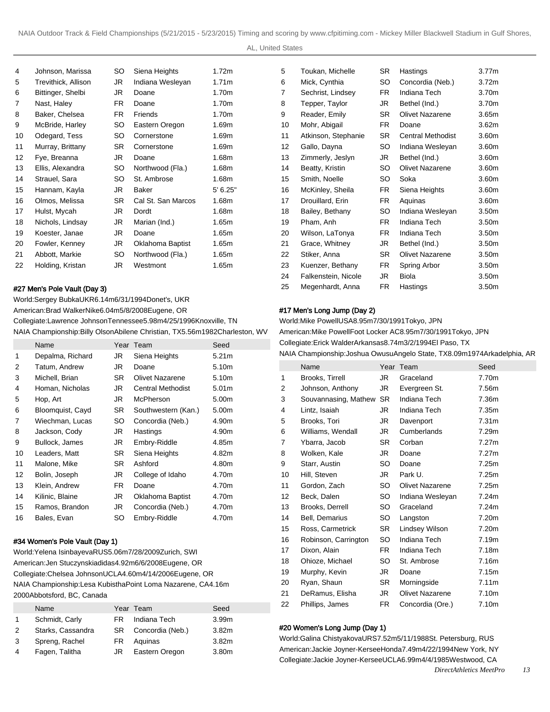AL, United States

| 4  | Johnson, Marissa    | SO. | Siena Heights      | 1.72m    |
|----|---------------------|-----|--------------------|----------|
| 5  | Trevithick, Allison | JR  | Indiana Wesleyan   | 1.71m    |
| 6  | Bittinger, Shelbi   | JR  | Doane              | 1.70m    |
| 7  | Nast, Haley         | FR. | Doane              | 1.70m    |
| 8  | Baker, Chelsea      | FR. | Friends            | 1.70m    |
| 9  | McBride, Harley     | SO. | Eastern Oregon     | 1.69m    |
| 10 | Odegard, Tess       | SO. | Cornerstone        | 1.69m    |
| 11 | Murray, Brittany    | SR. | Cornerstone        | 1.69m    |
| 12 | Fye, Breanna        | JR  | Doane              | 1.68m    |
| 13 | Ellis, Alexandra    | SO. | Northwood (Fla.)   | 1.68m    |
| 14 | Strauel, Sara       | SO. | St. Ambrose        | 1.68m    |
| 15 | Hannam, Kayla       | JR  | <b>Baker</b>       | 5' 6.25" |
| 16 | Olmos, Melissa      | SR. | Cal St. San Marcos | 1.68m    |
| 17 | Hulst, Mycah        | JR  | Dordt              | 1.68m    |
| 18 | Nichols, Lindsay    | JR  | Marian (Ind.)      | 1.65m    |
| 19 | Koester, Janae      | JR  | Doane              | 1.65m    |
| 20 | Fowler, Kenney      | JR  | Oklahoma Baptist   | 1.65m    |
| 21 | Abbott, Markie      | SO. | Northwood (Fla.)   | 1.65m    |
| 22 | Holding, Kristan    | JR  | Westmont           | 1.65m    |
|    |                     |     |                    |          |

#### #27 Men's Pole Vault (Day 3)

World: Sergey Bubka UKR 6.14m 6/31/1994 Donet's, UKR American: Brad Walker Nike 6.04m 5/8/2008 Eugene, OR Collegiate: Lawrence Johnson Tennessee 5.98m 4/25/1996 Knoxville, TN

NAIA Championship: Billy Olson Abilene Christian, TX 5.56m 1982Charleston, WV American: Mike Powell Foot Locker AC 8.95m 7/30/1991 Tokyo, JPN

|    | Name             | Year | Team                     | Seed              |
|----|------------------|------|--------------------------|-------------------|
| 1  | Depalma, Richard | JR   | Siena Heights            | 5.21m             |
| 2  | Tatum, Andrew    | JR   | Doane                    | 5.10m             |
| 3  | Michell, Brian   | SR.  | <b>Olivet Nazarene</b>   | 5.10m             |
| 4  | Homan, Nicholas  | JR   | <b>Central Methodist</b> | 5.01 <sub>m</sub> |
| 5  | Hop, Art         | JR   | McPherson                | 5.00m             |
| 6  | Bloomquist, Cayd | SR.  | Southwestern (Kan.)      | 5.00m             |
| 7  | Wiechman, Lucas  | SO   | Concordia (Neb.)         | 4.90m             |
| 8  | Jackson, Cody    | JR   | Hastings                 | 4.90m             |
| 9  | Bullock, James   | JR   | Embry-Riddle             | 4.85m             |
| 10 | Leaders, Matt    | SR.  | Siena Heights            | 4.82m             |
| 11 | Malone, Mike     | SR.  | Ashford                  | 4.80m             |
| 12 | Bolin, Joseph    | JR   | College of Idaho         | 4.70m             |
| 13 | Klein, Andrew    | FR.  | Doane                    | 4.70m             |
| 14 | Kilinic, Blaine  | JR   | Oklahoma Baptist         | 4.70m             |
| 15 | Ramos, Brandon   | JR   | Concordia (Neb.)         | 4.70m             |
| 16 | Bales, Evan      | SO   | Embry-Riddle             | 4.70m             |

## #34 Women's Pole Vault (Day 1)

World: Yelena Isinbayeva RUS 5.06m 7/28/2009 Zurich, SWI American: Jen Stuczynski adidas 4.92m 6/6/2008 Eugene, OR Collegiate: Chelsea Johnson UCLA 4.60m 4/14/2006 Eugene, OR NAIA Championship: Lesa Kubistha Point Loma Nazarene, CA 4.16m 2000Abbotsford, BC, Canada

|   | Name              |     | Year Team           | Seed              |
|---|-------------------|-----|---------------------|-------------------|
|   | Schmidt, Carly    | FR  | Indiana Tech        | 3.99 <sub>m</sub> |
| 2 | Starks, Cassandra |     | SR Concordia (Neb.) | 3.82 <sub>m</sub> |
| 3 | Spreng, Rachel    | FR. | Aquinas             | 3.82 <sub>m</sub> |
| 4 | Fagen, Talitha    | JR  | Eastern Oregon      | 3.80 <sub>m</sub> |

| Toukan, Michelle    | SR.       | Hastings                 | 3.77 <sub>m</sub> |
|---------------------|-----------|--------------------------|-------------------|
| Mick, Cynthia       | SO        | Concordia (Neb.)         | 3.72 <sub>m</sub> |
| Sechrist, Lindsey   | FR.       | Indiana Tech             | 3.70m             |
| Tepper, Taylor      | JR        | Bethel (Ind.)            | 3.70m             |
| Reader, Emily       | <b>SR</b> | Olivet Nazarene          | 3.65m             |
| Mohr, Abigail       | FR.       | Doane                    | 3.62m             |
| Atkinson, Stephanie | <b>SR</b> | <b>Central Methodist</b> | 3.60m             |
| Gallo, Dayna        | SO.       | Indiana Wesleyan         | 3.60m             |
| Zimmerly, Jeslyn    | JR        | Bethel (Ind.)            | 3.60m             |
| Beatty, Kristin     | SO        | Olivet Nazarene          | 3.60m             |
| Smith, Noelle       | SO.       | Soka                     | 3.60m             |
| McKinley, Sheila    | FR.       | Siena Heights            | 3.60m             |
| Drouillard, Erin    | FR.       | Aquinas                  | 3.60m             |
| Bailey, Bethany     | SO.       | Indiana Wesleyan         | 3.50m             |
| Pham, Anh           | <b>FR</b> | Indiana Tech             | 3.50m             |
| Wilson, LaTonya     | FR.       | Indiana Tech             | 3.50m             |
| Grace, Whitney      | JR        | Bethel (Ind.)            | 3.50m             |
| Stiker, Anna        | SR.       | Olivet Nazarene          | 3.50m             |
| Kuenzer, Bethany    | FR        | Spring Arbor             | 3.50m             |
| Falkenstein, Nicole | JR        | Biola                    | 3.50 <sub>m</sub> |
| Megenhardt, Anna    | FR.       | Hastings                 | 3.50m             |
|                     |           |                          |                   |

## #17 Men's Long Jump (Day 2)

World: Mike Powell USA 8.95m 7/30/1991 Tokyo, JPN

Collegiate: Erick Walder Arkansas 8.74m 3/2/1994 El Paso, TX

NAIA Championship: Joshua Owusu Angelo State, TX 8.09m 1974Arkadelphia, AR

|    | Name                 |           | Year Team              | Seed  |
|----|----------------------|-----------|------------------------|-------|
| 1  | Brooks, Tirrell      | JR        | Graceland              | 7.70m |
| 2  | Johnson, Anthony     | JR        | Evergreen St.          | 7.56m |
| 3  | Souvannasing, Mathew | <b>SR</b> | Indiana Tech           | 7.36m |
| 4  | Lintz, Isaiah        | JR        | Indiana Tech           | 7.35m |
| 5  | Brooks, Tori         | JR        | Davenport              | 7.31m |
| 6  | Williams, Wendall    | JR        | Cumberlands            | 7.29m |
| 7  | Ybarra, Jacob        | <b>SR</b> | Corban                 | 7.27m |
| 8  | Wolken, Kale         | JR        | Doane                  | 7.27m |
| 9  | Starr, Austin        | <b>SO</b> | Doane                  | 7.25m |
| 10 | Hill, Steven         | JR        | Park U.                | 7.25m |
| 11 | Gordon, Zach         | <b>SO</b> | <b>Olivet Nazarene</b> | 7.25m |
| 12 | Beck, Dalen          | SO.       | Indiana Wesleyan       | 7.24m |
| 13 | Brooks, Derrell      | SO        | Graceland              | 7.24m |
| 14 | Bell, Demarius       | SO        | Langston               | 7.20m |
| 15 | Ross, Carmetrick     | <b>SR</b> | Lindsey Wilson         | 7.20m |
| 16 | Robinson, Carrington | SO        | Indiana Tech           | 7.19m |
| 17 | Dixon, Alain         | FR.       | Indiana Tech           | 7.18m |
| 18 | Ohioze, Michael      | SO        | St. Ambrose            | 7.16m |
| 19 | Murphy, Kevin        | JR        | Doane                  | 7.15m |
| 20 | Ryan, Shaun          | SR        | Morningside            | 7.11m |
| 21 | DeRamus, Elisha      | JR        | <b>Olivet Nazarene</b> | 7.10m |
| 22 | Phillips, James      | <b>FR</b> | Concordia (Ore.)       | 7.10m |

## #20 Women's Long Jump (Day 1)

World: Galina Chistyakova URS 7.52m 5/11/1988 St. Petersburg, RUS American: Jackie Joyner-Kersee Honda 7.49m 4/22/1994 New York, NY Collegiate: Jackie Joyner-Kersee UCLA 6.99m 4/4/1985 Westwood, CA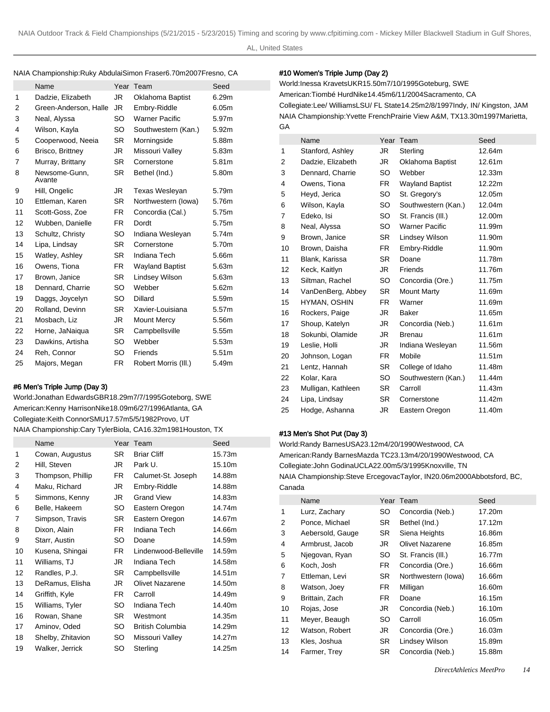#### NAIA Championship: Ruky Abdulai Simon Fraser 6.70m 2007Fresno, CA

|    | Name                    |           | Year Team              | Seed  |
|----|-------------------------|-----------|------------------------|-------|
| 1  | Dadzie, Elizabeth       | JR.       | Oklahoma Baptist       | 6.29m |
| 2  | Green-Anderson, Halle   | JR.       | Embry-Riddle           | 6.05m |
| 3  | Neal, Alyssa            | SO        | <b>Warner Pacific</b>  | 5.97m |
| 4  | Wilson, Kayla           | SO        | Southwestern (Kan.)    | 5.92m |
| 5  | Cooperwood, Neeia       | SR        | Morningside            | 5.88m |
| 6  | Brisco, Brittney        | JR        | Missouri Valley        | 5.83m |
| 7  | Murray, Brittany        | SR.       | Cornerstone            | 5.81m |
| 8  | Newsome-Gunn,<br>Avante | <b>SR</b> | Bethel (Ind.)          | 5.80m |
| 9  | Hill, Ongelic           | JR        | Texas Wesleyan         | 5.79m |
| 10 | Ettleman, Karen         | <b>SR</b> | Northwestern (lowa)    | 5.76m |
| 11 | Scott-Goss, Zoe         | FR.       | Concordia (Cal.)       | 5.75m |
| 12 | Wubben, Danielle        | FR.       | Dordt                  | 5.75m |
| 13 | Schultz, Christy        | SO        | Indiana Wesleyan       | 5.74m |
| 14 | Lipa, Lindsay           | SR.       | Cornerstone            | 5.70m |
| 15 | Watley, Ashley          | SR.       | Indiana Tech           | 5.66m |
| 16 | Owens, Tiona            | <b>FR</b> | <b>Wayland Baptist</b> | 5.63m |
| 17 | Brown, Janice           | <b>SR</b> | Lindsey Wilson         | 5.63m |
| 18 | Dennard, Charrie        | SO        | Webber                 | 5.62m |
| 19 | Daggs, Joycelyn         | SO        | <b>Dillard</b>         | 5.59m |
| 20 | Rolland, Devinn         | SR.       | Xavier-Louisiana       | 5.57m |
| 21 | Mosbach, Liz            | JR        | <b>Mount Mercy</b>     | 5.56m |
| 22 | Horne, JaNaiqua         | SR.       | Campbellsville         | 5.55m |
| 23 | Dawkins, Artisha        | SO        | Webber                 | 5.53m |
| 24 | Reh, Connor             | SO        | Friends                | 5.51m |
| 25 | Majors, Megan           | FR        | Robert Morris (III.)   | 5.49m |
|    |                         |           |                        |       |

#### #6 Men's Triple Jump (Day 3)

World: Jonathan Edwards GBR 18.29m 7/7/1995 Goteborg, SWE American: Kenny Harrison Nike 18.09m 6/27/1996 Atlanta, GA Collegiate: Keith Connor SMU 17.57m 5/5/1982 Provo, UT NAIA Championship: Cary Tyler Biola, CA 16.32m 1981Houston, TX

|    | Name              |           | Year Team               | Seed   |
|----|-------------------|-----------|-------------------------|--------|
| 1  | Cowan, Augustus   | <b>SR</b> | <b>Briar Cliff</b>      | 15.73m |
| 2  | Hill, Steven      | JR        | Park U.                 | 15.10m |
| 3  | Thompson, Phillip | FR.       | Calumet-St. Joseph      | 14.88m |
| 4  | Maku, Richard     | JR        | Embry-Riddle            | 14.88m |
| 5  | Simmons, Kenny    | JR        | <b>Grand View</b>       | 14.83m |
| 6  | Belle, Hakeem     | SO        | Eastern Oregon          | 14.74m |
| 7  | Simpson, Travis   | <b>SR</b> | Eastern Oregon          | 14.67m |
| 8  | Dixon, Alain      | FR.       | Indiana Tech            | 14.66m |
| 9  | Starr, Austin     | SO.       | Doane                   | 14.59m |
| 10 | Kusena, Shingai   | <b>FR</b> | Lindenwood-Belleville   | 14.59m |
| 11 | Williams, TJ      | JR        | Indiana Tech            | 14.58m |
| 12 | Randles, P.J.     | <b>SR</b> | Campbellsville          | 14.51m |
| 13 | DeRamus, Elisha   | JR        | <b>Olivet Nazarene</b>  | 14.50m |
| 14 | Griffith, Kyle    | FR.       | Carroll                 | 14.49m |
| 15 | Williams, Tyler   | SO        | Indiana Tech            | 14.40m |
| 16 | Rowan, Shane      | <b>SR</b> | Westmont                | 14.35m |
| 17 | Aminov, Oded      | SO.       | <b>British Columbia</b> | 14.29m |
| 18 | Shelby, Zhitavion | SO        | Missouri Valley         | 14.27m |
| 19 | Walker, Jerrick   | SO        | Sterling                | 14.25m |

## #10 Women's Triple Jump (Day 2)

World: Inessa Kravets UKR 15.50m 7/10/1995 Goteburg, SWE American: Tiombé Hurd Nike 14.45m 6/11/2004 Sacramento, CA Collegiate: Lee/ Williams LSU/ FL State 14.25m 2/8/1997 Indy, IN/ Kingston, JAM NAIA Championship: Yvette French Prairie View A&M, TX 13.30m 1997Marietta, GA

|                | Name               |           | Year Team              | Seed   |
|----------------|--------------------|-----------|------------------------|--------|
| 1              | Stanford, Ashley   | JR.       | Sterling               | 12.64m |
| 2              | Dadzie, Elizabeth  | JR        | Oklahoma Baptist       | 12.61m |
| 3              | Dennard, Charrie   | SO.       | Webber                 | 12.33m |
| 4              | Owens, Tiona       | FR.       | <b>Wayland Baptist</b> | 12.22m |
| 5              | Heyd, Jerica       | SO        | St. Gregory's          | 12.05m |
| 6              | Wilson, Kayla      | SO        | Southwestern (Kan.)    | 12.04m |
| $\overline{7}$ | Edeko, Isi         | SO        | St. Francis (III.)     | 12.00m |
| 8              | Neal, Alyssa       | SO        | <b>Warner Pacific</b>  | 11.99m |
| 9              | Brown, Janice      | <b>SR</b> | Lindsey Wilson         | 11.90m |
| 10             | Brown, Daisha      | FR.       | Embry-Riddle           | 11.90m |
| 11             | Blank, Karissa     | SR.       | Doane                  | 11.78m |
| 12             | Keck, Kaitlyn      | JR.       | Friends                | 11.76m |
| 13             | Siltman, Rachel    | SO        | Concordia (Ore.)       | 11.75m |
| 14             | VanDenBerg, Abbey  | <b>SR</b> | <b>Mount Marty</b>     | 11.69m |
| 15             | HYMAN, OSHIN       | FR.       | Warner                 | 11.69m |
| 16             | Rockers, Paige     | JR.       | <b>Baker</b>           | 11.65m |
| 17             | Shoup, Katelyn     | JR        | Concordia (Neb.)       | 11.61m |
| 18             | Sokunbi, Olamide   | JR.       | <b>Brenau</b>          | 11.61m |
| 19             | Leslie, Holli      | JR        | Indiana Wesleyan       | 11.56m |
| 20             | Johnson, Logan     | FR.       | Mobile                 | 11.51m |
| 21             | Lentz, Hannah      | <b>SR</b> | College of Idaho       | 11.48m |
| 22             | Kolar, Kara        | SO        | Southwestern (Kan.)    | 11.44m |
| 23             | Mulligan, Kathleen | <b>SR</b> | Carroll                | 11.43m |
| 24             | Lipa, Lindsay      | <b>SR</b> | Cornerstone            | 11.42m |
| 25             | Hodge, Ashanna     | JR        | Eastern Oregon         | 11.40m |

#### #13 Men's Shot Put (Day 3)

World: Randy Barnes USA 23.12m 4/20/1990 Westwood, CA American: Randy Barnes Mazda TC 23.13m 4/20/1990 Westwood, CA Collegiate: John Godina UCLA 22.00m 5/3/1995 Knoxville, TN NAIA Championship: Steve Ercegovac Taylor, IN 20.06m 2000Abbotsford, BC, Canada

|    | Name             | Year      | Team                   | Seed   |
|----|------------------|-----------|------------------------|--------|
| 1  | Lurz, Zachary    | SO.       | Concordia (Neb.)       | 17.20m |
| 2  | Ponce, Michael   | <b>SR</b> | Bethel (Ind.)          | 17.12m |
| 3  | Aebersold, Gauge | <b>SR</b> | Siena Heights          | 16.86m |
| 4  | Armbrust, Jacob  | JR        | <b>Olivet Nazarene</b> | 16.85m |
| 5  | Njegovan, Ryan   | SO.       | St. Francis (III.)     | 16.77m |
| 6  | Koch, Josh       | FR.       | Concordia (Ore.)       | 16.66m |
| 7  | Ettleman, Levi   | <b>SR</b> | Northwestern (lowa)    | 16.66m |
| 8  | Watson, Joey     | FR.       | Milligan               | 16.60m |
| 9  | Brittain, Zach   | FR.       | Doane                  | 16.15m |
| 10 | Rojas, Jose      | JR        | Concordia (Neb.)       | 16.10m |
| 11 | Meyer, Beaugh    | SO.       | Carroll                | 16.05m |
| 12 | Watson, Robert   | JR        | Concordia (Ore.)       | 16.03m |
| 13 | Kles, Joshua     | <b>SR</b> | Lindsey Wilson         | 15.89m |
| 14 | Farmer, Trey     | <b>SR</b> | Concordia (Neb.)       | 15.88m |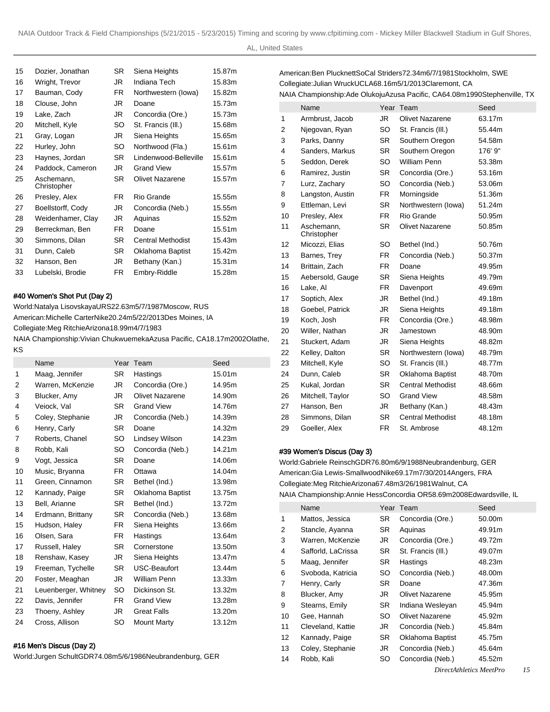AL, United States

| 15 | Dozier, Jonathan          | SR. | Siena Heights            | 15.87m |
|----|---------------------------|-----|--------------------------|--------|
| 16 | Wright, Trevor            | JR. | Indiana Tech             | 15.83m |
| 17 | Bauman, Cody              | FR. | Northwestern (lowa)      | 15.82m |
| 18 | Clouse, John              | JR  | Doane                    | 15.73m |
| 19 | Lake, Zach                | JR  | Concordia (Ore.)         | 15.73m |
| 20 | Mitchell, Kyle            | SO  | St. Francis (III.)       | 15.68m |
| 21 | Gray, Logan               | JR  | Siena Heights            | 15.65m |
| 22 | Hurley, John              | SO  | Northwood (Fla.)         | 15.61m |
| 23 | Haynes, Jordan            | SR. | Lindenwood-Belleville    | 15.61m |
| 24 | Paddock, Cameron          | JR  | <b>Grand View</b>        | 15.57m |
| 25 | Aschemann,<br>Christopher | SR. | <b>Olivet Nazarene</b>   | 15.57m |
| 26 | Presley, Alex             | FR. | Rio Grande               | 15.55m |
| 27 | Boellstorff, Cody         | JR  | Concordia (Neb.)         | 15.55m |
| 28 | Weidenhamer, Clay         | JR  | Aquinas                  | 15.52m |
| 29 | Berreckman, Ben           | FR. | Doane                    | 15.51m |
| 30 | Simmons, Dilan            | SR. | <b>Central Methodist</b> | 15.43m |
| 31 | Dunn, Caleb               | SR. | Oklahoma Baptist         | 15.42m |
| 32 | Hanson, Ben               | JR  | Bethany (Kan.)           | 15.31m |
| 33 | Lubelski, Brodie          | FR. | Embry-Riddle             | 15.28m |
|    |                           |     |                          |        |

### #40 Women's Shot Put (Day 2)

KS

World: Natalya Lisovskaya URS 22.63m 5/7/1987 Moscow, RUS American: Michelle Carter Nike 20.24m 5/22/2013 Des Moines, IA Collegiate: Meg Ritchie Arizona 18.99m 4/7/1983 NAIA Championship: Vivian Chukwuemeka Azusa Pacific, CA 18.17m 2002Olathe,

|    | Name                 |           | Year Team              | Seed   |
|----|----------------------|-----------|------------------------|--------|
| 1  | Maag, Jennifer       | <b>SR</b> | Hastings               | 15.01m |
| 2  | Warren, McKenzie     | JR        | Concordia (Ore.)       | 14.95m |
| 3  | Blucker, Amy         | JR        | <b>Olivet Nazarene</b> | 14.90m |
| 4  | Veiock, Val          | <b>SR</b> | <b>Grand View</b>      | 14.76m |
| 5  | Coley, Stephanie     | JR        | Concordia (Neb.)       | 14.39m |
| 6  | Henry, Carly         | <b>SR</b> | Doane                  | 14.32m |
| 7  | Roberts, Chanel      | SO        | Lindsey Wilson         | 14.23m |
| 8  | Robb, Kali           | SO        | Concordia (Neb.)       | 14.21m |
| 9  | Vogt, Jessica        | <b>SR</b> | Doane                  | 14.06m |
| 10 | Music, Bryanna       | FR.       | Ottawa                 | 14.04m |
| 11 | Green, Cinnamon      | <b>SR</b> | Bethel (Ind.)          | 13.98m |
| 12 | Kannady, Paige       | SR.       | Oklahoma Baptist       | 13.75m |
| 13 | Bell, Arianne        | SR.       | Bethel (Ind.)          | 13.72m |
| 14 | Erdmann, Brittany    | SR.       | Concordia (Neb.)       | 13.68m |
| 15 | Hudson, Haley        | FR.       | Siena Heights          | 13.66m |
| 16 | Olsen, Sara          | FR.       | Hastings               | 13.64m |
| 17 | Russell, Haley       | <b>SR</b> | Cornerstone            | 13.50m |
| 18 | Renshaw, Kasey       | JR        | Siena Heights          | 13.47m |
| 19 | Freeman, Tychelle    | <b>SR</b> | USC-Beaufort           | 13.44m |
| 20 | Foster, Meaghan      | JR        | <b>William Penn</b>    | 13.33m |
| 21 | Leuenberger, Whitney | SO        | Dickinson St.          | 13.32m |
| 22 | Davis, Jennifer      | FR.       | <b>Grand View</b>      | 13.28m |
| 23 | Thoeny, Ashley       | JR.       | <b>Great Falls</b>     | 13.20m |
| 24 | Cross, Allison       | SO        | <b>Mount Marty</b>     | 13.12m |
|    |                      |           |                        |        |

## #16 Men's Discus (Day 2)

World: Jurgen Schult GDR 74.08m 5/6/1986 Neubrandenburg, GER

American: Ben Plucknett SoCal Striders 72.34m 6/7/1981 Stockholm, SWE Collegiate: Julian Wruck UCLA 68.16m 5/1/2013 Claremont, CA NAIA Championship: Ade Olukoju Azusa Pacific, CA 64.08m 1990Stephenville, TX

|                | Name                      | Year      | Team                     | Seed    |
|----------------|---------------------------|-----------|--------------------------|---------|
| 1              | Armbrust, Jacob           | JR.       | Olivet Nazarene          | 63.17m  |
| $\overline{2}$ | Njegovan, Ryan            | <b>SO</b> | St. Francis (III.)       | 55.44m  |
| 3              | Parks, Danny              | <b>SR</b> | Southern Oregon          | 54.58m  |
| 4              | Sanders, Markus           | <b>SR</b> | Southern Oregon          | 176' 9" |
| 5              | Seddon, Derek             | SO.       | <b>William Penn</b>      | 53.38m  |
| 6              | Ramirez, Justin           | <b>SR</b> | Concordia (Ore.)         | 53.16m  |
| 7              | Lurz, Zachary             | SO.       | Concordia (Neb.)         | 53.06m  |
| 8              | Langston, Austin          | FR.       | Morningside              | 51.36m  |
| 9              | Ettleman, Levi            | <b>SR</b> | Northwestern (lowa)      | 51.24m  |
| 10             | Presley, Alex             | FR.       | Rio Grande               | 50.95m  |
| 11             | Aschemann,<br>Christopher | <b>SR</b> | <b>Olivet Nazarene</b>   | 50.85m  |
| 12             | Micozzi, Elias            | SO.       | Bethel (Ind.)            | 50.76m  |
| 13             | Barnes, Trey              | FR.       | Concordia (Neb.)         | 50.37m  |
| 14             | Brittain, Zach            | FR.       | Doane                    | 49.95m  |
| 15             | Aebersold, Gauge          | <b>SR</b> | Siena Heights            | 49.79m  |
| 16             | Lake, Al                  | FR.       | Davenport                | 49.69m  |
| 17             | Soptich, Alex             | JR.       | Bethel (Ind.)            | 49.18m  |
| 18             | Goebel, Patrick           | JR        | Siena Heights            | 49.18m  |
| 19             | Koch, Josh                | FR.       | Concordia (Ore.)         | 48.98m  |
| 20             | Willer, Nathan            | JR.       | Jamestown                | 48.90m  |
| 21             | Stuckert, Adam            | JR.       | Siena Heights            | 48.82m  |
| 22             | Kelley, Dalton            | SR.       | Northwestern (lowa)      | 48.79m  |
| 23             | Mitchell, Kyle            | SO        | St. Francis (III.)       | 48.77m  |
| 24             | Dunn, Caleb               | SR.       | Oklahoma Baptist         | 48.70m  |
| 25             | Kukal, Jordan             | SR.       | <b>Central Methodist</b> | 48.66m  |
| 26             | Mitchell, Taylor          | SO        | <b>Grand View</b>        | 48.58m  |
| 27             | Hanson, Ben               | JR        | Bethany (Kan.)           | 48.43m  |
| 28             | Simmons, Dilan            | <b>SR</b> | <b>Central Methodist</b> | 48.18m  |
| 29             | Goeller, Alex             | FR.       | St. Ambrose              | 48.12m  |

### #39 Women's Discus (Day 3)

World: Gabriele Reinsch GDR 76.80m 6/9/1988 Neubrandenburg, GER American: Gia Lewis-Smallwood Nike 69.17m 7/30/2014 Angers, FRA Collegiate: Meg Ritchie Arizona 67.48m 3/26/1981 Walnut, CA NAIA Championship: Annie Hess Concordia OR 58.69m 2008Edwardsville, IL

|    | Name               | Year | Team               | Seed   |
|----|--------------------|------|--------------------|--------|
| 1  | Mattos, Jessica    | SR.  | Concordia (Ore.)   | 50.00m |
| 2  | Stancle, Ayanna    | SR   | Aquinas            | 49.91m |
| 3  | Warren, McKenzie   | JR   | Concordia (Ore.)   | 49.72m |
| 4  | Safforld, LaCrissa | SR.  | St. Francis (III.) | 49.07m |
| 5  | Maag, Jennifer     | SR   | Hastings           | 48.23m |
| 6  | Svoboda, Katricia  | SO.  | Concordia (Neb.)   | 48.00m |
| 7  | Henry, Carly       | SR.  | Doane              | 47.36m |
| 8  | Blucker, Amy       | JR   | Olivet Nazarene    | 45.95m |
| 9  | Stearns, Emily     | SR.  | Indiana Wesleyan   | 45.94m |
| 10 | Gee, Hannah        | SO.  | Olivet Nazarene    | 45.92m |
| 11 | Cleveland, Kattie  | JR   | Concordia (Neb.)   | 45.84m |
| 12 | Kannady, Paige     | SR.  | Oklahoma Baptist   | 45.75m |
| 13 | Coley, Stephanie   | JR   | Concordia (Neb.)   | 45.64m |
| 14 | Robb, Kali         | SO   | Concordia (Neb.)   | 45.52m |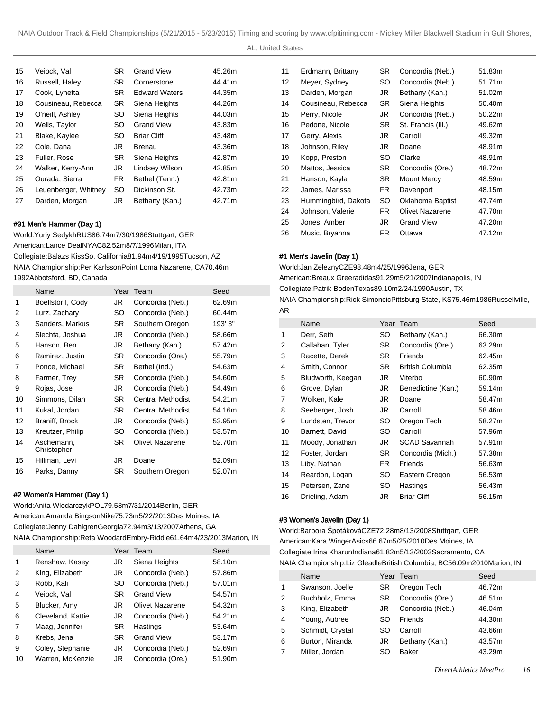AL, United States

| Veiock, Val          | <b>SR</b> | <b>Grand View</b>    | 45.26m |
|----------------------|-----------|----------------------|--------|
| Russell, Haley       | <b>SR</b> | Cornerstone          | 44.41m |
| Cook, Lynetta        | <b>SR</b> | <b>Edward Waters</b> | 44.35m |
| Cousineau, Rebecca   | <b>SR</b> | Siena Heights        | 44.26m |
| O'neill, Ashley      | SO.       | Siena Heights        | 44.03m |
| Wells, Taylor        | SO.       | <b>Grand View</b>    | 43.83m |
| Blake, Kaylee        | <b>SO</b> | <b>Briar Cliff</b>   | 43.48m |
| Cole. Dana           | JR        | Brenau               | 43.36m |
| Fuller, Rose         | <b>SR</b> | Siena Heights        | 42.87m |
| Walker, Kerry-Ann    | JR        | Lindsey Wilson       | 42.85m |
| Ourada, Sierra       | FR.       | Bethel (Tenn.)       | 42.81m |
| Leuenberger, Whitney | SO.       | Dickinson St.        | 42.73m |
| Darden, Morgan       | JR        | Bethany (Kan.)       | 42.71m |
|                      |           |                      |        |

## #31 Men's Hammer (Day 1)

World: Yuriy Sedykh RUS 86.74m 7/30/1986 Stuttgart, GER American: Lance Deal NYAC 82.52m 8/7/1996 Milan, ITA Collegiate: Balazs Kiss So. California 81.94m 4/19/1995 Tucson, AZ NAIA Championship: Per Karlsson Point Loma Nazarene, CA 70.46m 1992Abbotsford, BD, Canada

|    | Name                      |           | Year Team                | Seed    |
|----|---------------------------|-----------|--------------------------|---------|
| 1  | Boellstorff, Cody         | JR        | Concordia (Neb.)         | 62.69m  |
| 2  | Lurz, Zachary             | SO        | Concordia (Neb.)         | 60.44m  |
| 3  | Sanders, Markus           | SR.       | Southern Oregon          | 193' 3" |
| 4  | Slechta, Joshua           | JR        | Concordia (Neb.)         | 58.66m  |
| 5  | Hanson, Ben               | JR        | Bethany (Kan.)           | 57.42m  |
| 6  | Ramirez, Justin           | SR.       | Concordia (Ore.)         | 55.79m  |
| 7  | Ponce, Michael            | SR.       | Bethel (Ind.)            | 54.63m  |
| 8  | Farmer, Trey              | SR.       | Concordia (Neb.)         | 54.60m  |
| 9  | Rojas, Jose               | JR        | Concordia (Neb.)         | 54.49m  |
| 10 | Simmons, Dilan            | SR.       | <b>Central Methodist</b> | 54.21m  |
| 11 | Kukal, Jordan             | SR.       | <b>Central Methodist</b> | 54.16m  |
| 12 | Braniff, Brock            | JR        | Concordia (Neb.)         | 53.95m  |
| 13 | Kreutzer, Philip          | SO        | Concordia (Neb.)         | 53.57m  |
| 14 | Aschemann,<br>Christopher | SR.       | Olivet Nazarene          | 52.70m  |
| 15 | Hillman, Levi             | JR        | Doane                    | 52.09m  |
| 16 | Parks, Danny              | <b>SR</b> | Southern Oregon          | 52.07m  |

## #2 Women's Hammer (Day 1)

World: Anita Wlodarczyk POL 79.58m 7/31/2014 Berlin, GER American: Amanda Bingson Nike 75.73m 5/22/2013 Des Moines, IA Collegiate: Jenny Dahlgren Georgia 72.94m 3/13/2007 Athens, GA NAIA Championship: Reta Woodard Embry-Riddle 61.64m 4/23/2013 Marion, IN

|    | Name              |           | Year Team              | Seed   |
|----|-------------------|-----------|------------------------|--------|
| 1  | Renshaw, Kasey    | JR        | Siena Heights          | 58.10m |
| 2  | King, Elizabeth   | JR        | Concordia (Neb.)       | 57.86m |
| 3  | Robb, Kali        | SO        | Concordia (Neb.)       | 57.01m |
| 4  | Veiock, Val       | <b>SR</b> | <b>Grand View</b>      | 54.57m |
| 5  | Blucker, Amy      | JR.       | <b>Olivet Nazarene</b> | 54.32m |
| 6  | Cleveland, Kattie | JR        | Concordia (Neb.)       | 54.21m |
| 7  | Maag, Jennifer    | SR.       | Hastings               | 53.64m |
| 8  | Krebs, Jena       | SR.       | <b>Grand View</b>      | 53.17m |
| 9  | Coley, Stephanie  | JR        | Concordia (Neb.)       | 52.69m |
| 10 | Warren, McKenzie  | JR        | Concordia (Ore.)       | 51.90m |

| Erdmann, Brittany   | <b>SR</b> | Concordia (Neb.)       | 51.83m |
|---------------------|-----------|------------------------|--------|
| Meyer, Sydney       | SO        | Concordia (Neb.)       | 51.71m |
| Darden, Morgan      | JR        | Bethany (Kan.)         | 51.02m |
| Cousineau, Rebecca  | <b>SR</b> | Siena Heights          | 50.40m |
| Perry, Nicole       | JR        | Concordia (Neb.)       | 50.22m |
| Pedone, Nicole      | SR.       | St. Francis (III.)     | 49.62m |
| Gerry, Alexis       | JR        | Carroll                | 49.32m |
| Johnson, Riley      | JR        | Doane                  | 48.91m |
| Kopp, Preston       | SO        | Clarke                 | 48.91m |
| Mattos, Jessica     | SR.       | Concordia (Ore.)       | 48.72m |
| Hanson, Kayla       | SR.       | <b>Mount Mercy</b>     | 48.59m |
| James, Marissa      | FR.       | Davenport              | 48.15m |
| Hummingbird, Dakota | SO.       | Oklahoma Baptist       | 47.74m |
| Johnson, Valerie    | FR.       | <b>Olivet Nazarene</b> | 47.70m |
| Jones, Amber        | JR        | <b>Grand View</b>      | 47.20m |
| Music, Bryanna      | FR.       | Ottawa                 | 47.12m |
|                     |           |                        |        |

## #1 Men's Javelin (Day 1)

World: Jan Zelezny CZE 98.48m 4/25/1996 Jena, GER American: Breaux Greer adidas 91.29m 5/21/2007 Indianapolis, IN Collegiate: Patrik Boden Texas 89.10m 2/24/1990 Austin, TX NAIA Championship: Rick Simoncic Pittsburg State, KS 75.46m 1986Russellville,

| in the Championship. Nick Simoncic Fillsburg State, NS 75.40m T900Nussemme, |  |
|-----------------------------------------------------------------------------|--|
| AR                                                                          |  |

|    | Name              | Year | Team                    | Seed   |
|----|-------------------|------|-------------------------|--------|
| 1  | Derr, Seth        | SO   | Bethany (Kan.)          | 66.30m |
| 2  | Callahan, Tyler   | SR   | Concordia (Ore.)        | 63.29m |
| 3  | Racette, Derek    | SR.  | Friends                 | 62.45m |
| 4  | Smith, Connor     | SR.  | <b>British Columbia</b> | 62.35m |
| 5  | Bludworth, Keegan | JR   | Viterbo                 | 60.90m |
| 6  | Grove, Dylan      | JR   | Benedictine (Kan.)      | 59.14m |
| 7  | Wolken, Kale      | JR   | Doane                   | 58.47m |
| 8  | Seeberger, Josh   | JR   | Carroll                 | 58.46m |
| 9  | Lundsten, Trevor  | SO.  | Oregon Tech             | 58.27m |
| 10 | Barnett, David    | SO.  | Carroll                 | 57.96m |
| 11 | Moody, Jonathan   | JR   | <b>SCAD Savannah</b>    | 57.91m |
| 12 | Foster, Jordan    | SR.  | Concordia (Mich.)       | 57.38m |
| 13 | Liby, Nathan      | FR.  | Friends                 | 56.63m |
| 14 | Reardon, Logan    | SO   | Eastern Oregon          | 56.53m |
| 15 | Petersen, Zane    | SO.  | Hastings                | 56.43m |
| 16 | Drieling, Adam    | JR   | <b>Briar Cliff</b>      | 56.15m |

### #3 Women's Javelin (Day 1)

World: Barbora Špotáková CZE 72.28m 8/13/2008 Stuttgart, GER American: Kara Winger Asics 66.67m 5/25/2010 Des Moines, IA Collegiate: Irina Kharun Indiana 61.82m 5/13/2003 Sacramento, CA NAIA Championship: Liz Gleadle British Columbia, BC 56.09m 2010Marion, IN

| Name             |     |                  | Seed      |
|------------------|-----|------------------|-----------|
| Swanson, Joelle  | SR. | Oregon Tech      | 46.72m    |
| Buchholz, Emma   | SR. | Concordia (Ore.) | 46.51m    |
| King, Elizabeth  | JR  | Concordia (Neb.) | 46.04m    |
| Young, Aubree    | SO. | Friends          | 44.30m    |
| Schmidt, Crystal | SO. | Carroll          | 43.66m    |
| Burton, Miranda  | JR  | Bethany (Kan.)   | 43.57m    |
| Miller, Jordan   | SO  | <b>Baker</b>     | 43.29m    |
|                  |     |                  | Year Team |